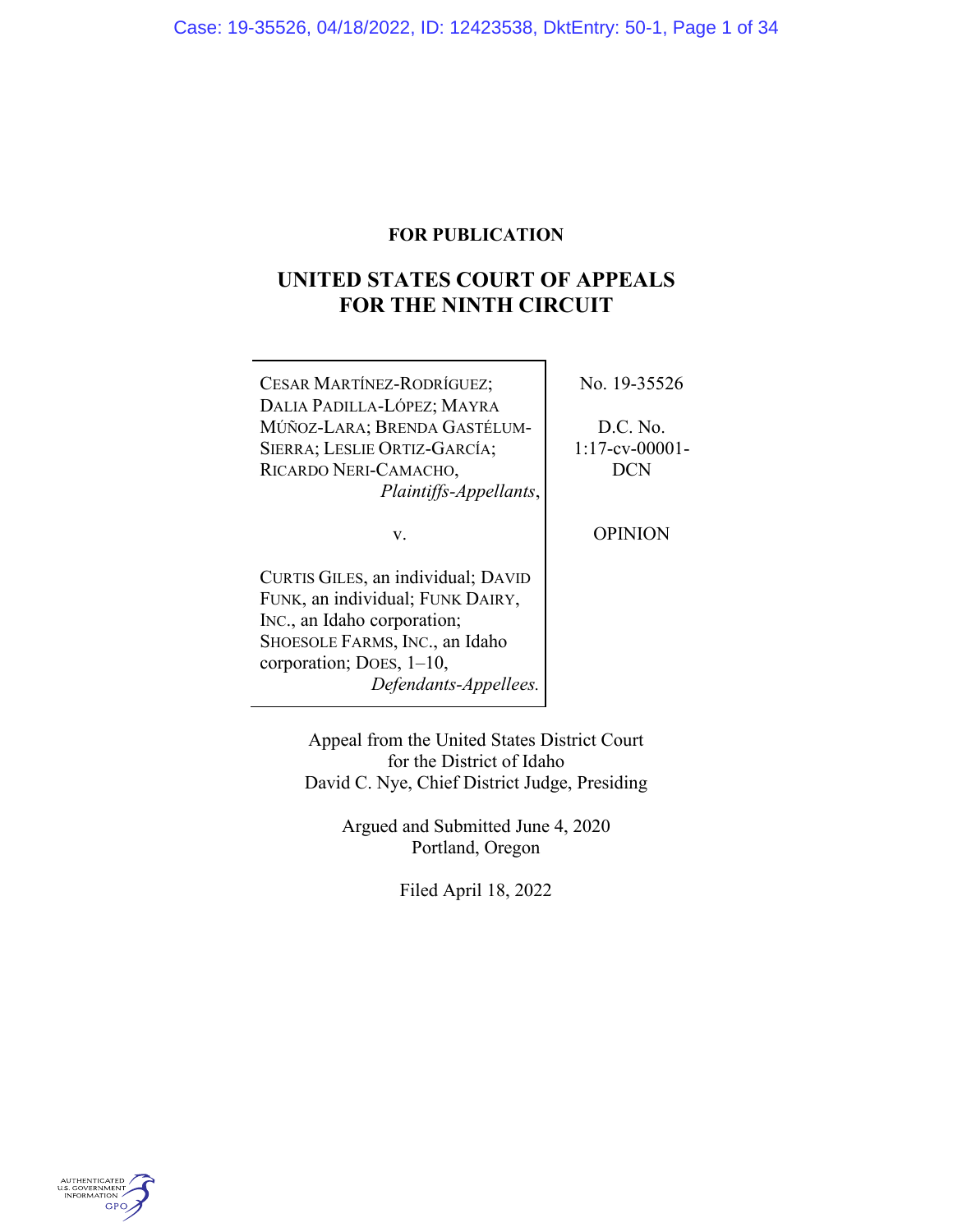# **FOR PUBLICATION**

# **UNITED STATES COURT OF APPEALS FOR THE NINTH CIRCUIT**

| CESAR MARTÍNEZ-RODRÍGUEZ;          | No. 19-35526      |
|------------------------------------|-------------------|
| DALIA PADILLA-LÓPEZ; MAYRA         |                   |
| MÚÑOZ-LARA; BRENDA GASTÉLUM-       | D.C. No.          |
| SIERRA; LESLIE ORTIZ-GARCÍA;       | $1:17$ -cv-00001- |
| RICARDO NERI-CAMACHO,              | <b>DCN</b>        |
| Plaintiffs-Appellants,             |                   |
| v.                                 | <b>OPINION</b>    |
| CURTIS GILES, an individual; DAVID |                   |
| FUNK, an individual; FUNK DAIRY,   |                   |
| INC., an Idaho corporation;        |                   |
| SHOESOLE FARMS, INC., an Idaho     |                   |
| corporation; DOES, $1-10$ ,        |                   |
| Defendants-Appellees.              |                   |
|                                    |                   |

Appeal from the United States District Court for the District of Idaho David C. Nye, Chief District Judge, Presiding

> Argued and Submitted June 4, 2020 Portland, Oregon

> > Filed April 18, 2022

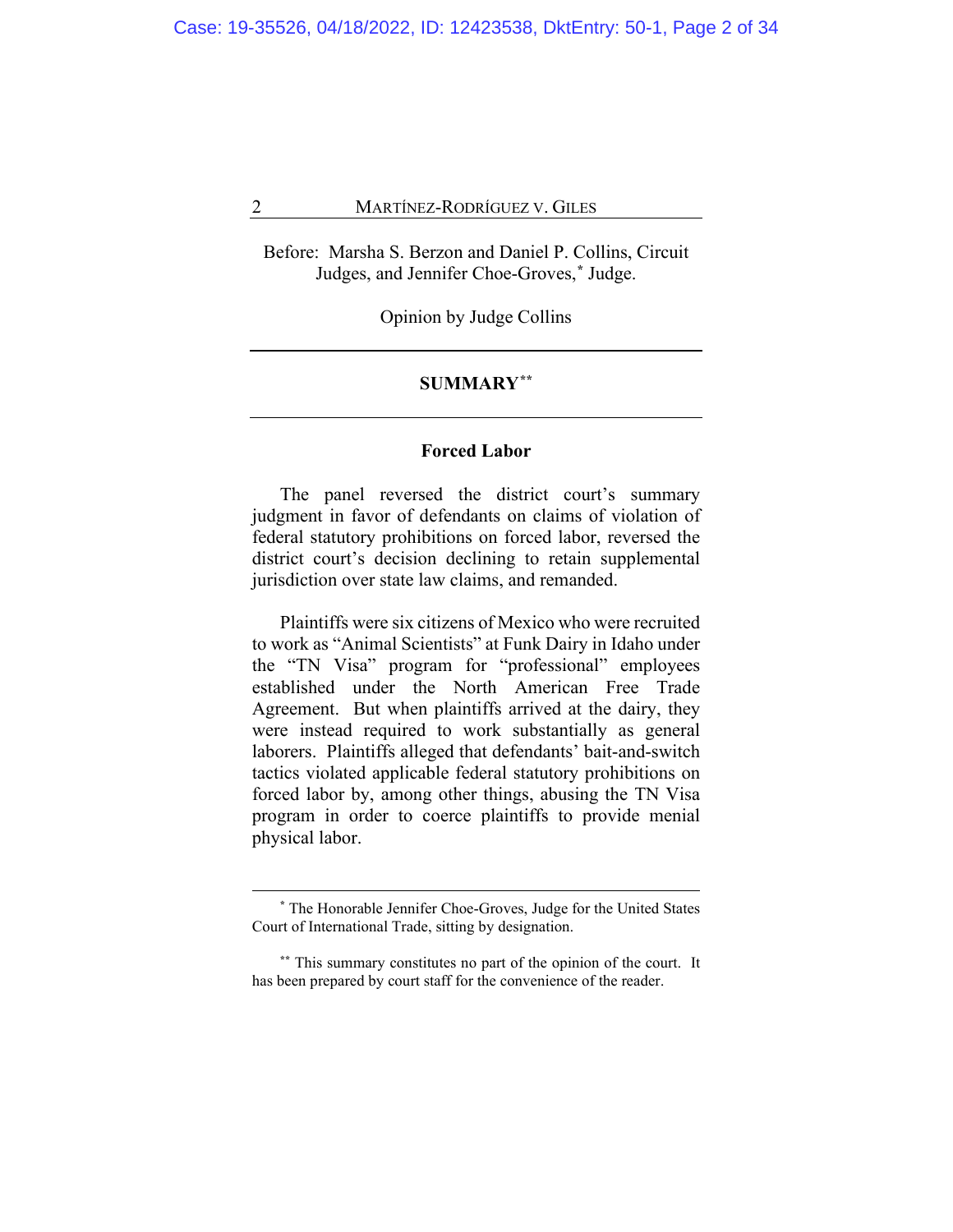Before: Marsha S. Berzon and Daniel P. Collins, Circuit Judges, and Jennifer Choe-Groves,**[\\*](#page-1-0)** Judge.

Opinion by Judge Collins

# **SUMMARY[\\*\\*](#page-1-1)**

#### **Forced Labor**

The panel reversed the district court's summary judgment in favor of defendants on claims of violation of federal statutory prohibitions on forced labor, reversed the district court's decision declining to retain supplemental jurisdiction over state law claims, and remanded.

Plaintiffs were six citizens of Mexico who were recruited to work as "Animal Scientists" at Funk Dairy in Idaho under the "TN Visa" program for "professional" employees established under the North American Free Trade Agreement. But when plaintiffs arrived at the dairy, they were instead required to work substantially as general laborers. Plaintiffs alleged that defendants' bait-and-switch tactics violated applicable federal statutory prohibitions on forced labor by, among other things, abusing the TN Visa program in order to coerce plaintiffs to provide menial physical labor.

**<sup>\*</sup>** The Honorable Jennifer Choe-Groves, Judge for the United States Court of International Trade, sitting by designation.

<span id="page-1-1"></span><span id="page-1-0"></span>**<sup>\*\*</sup>** This summary constitutes no part of the opinion of the court. It has been prepared by court staff for the convenience of the reader.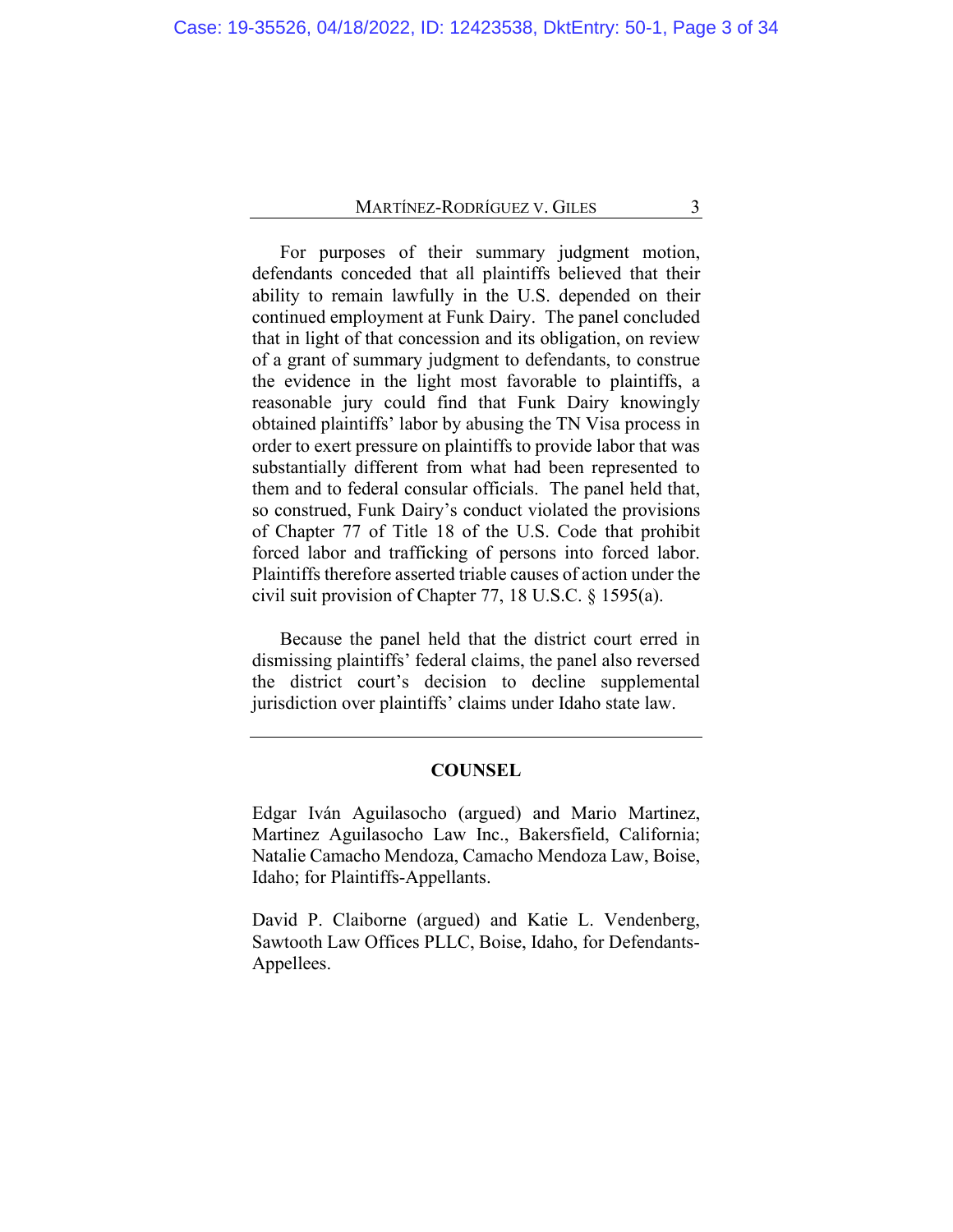For purposes of their summary judgment motion, defendants conceded that all plaintiffs believed that their ability to remain lawfully in the U.S. depended on their continued employment at Funk Dairy. The panel concluded that in light of that concession and its obligation, on review of a grant of summary judgment to defendants, to construe the evidence in the light most favorable to plaintiffs, a reasonable jury could find that Funk Dairy knowingly obtained plaintiffs' labor by abusing the TN Visa process in order to exert pressure on plaintiffs to provide labor that was substantially different from what had been represented to them and to federal consular officials. The panel held that, so construed, Funk Dairy's conduct violated the provisions of Chapter 77 of Title 18 of the U.S. Code that prohibit forced labor and trafficking of persons into forced labor. Plaintiffs therefore asserted triable causes of action under the civil suit provision of Chapter 77, 18 U.S.C. § 1595(a).

Because the panel held that the district court erred in dismissing plaintiffs' federal claims, the panel also reversed the district court's decision to decline supplemental jurisdiction over plaintiffs' claims under Idaho state law.

# **COUNSEL**

Edgar Iván Aguilasocho (argued) and Mario Martinez, Martinez Aguilasocho Law Inc., Bakersfield, California; Natalie Camacho Mendoza, Camacho Mendoza Law, Boise, Idaho; for Plaintiffs-Appellants.

David P. Claiborne (argued) and Katie L. Vendenberg, Sawtooth Law Offices PLLC, Boise, Idaho, for Defendants-Appellees.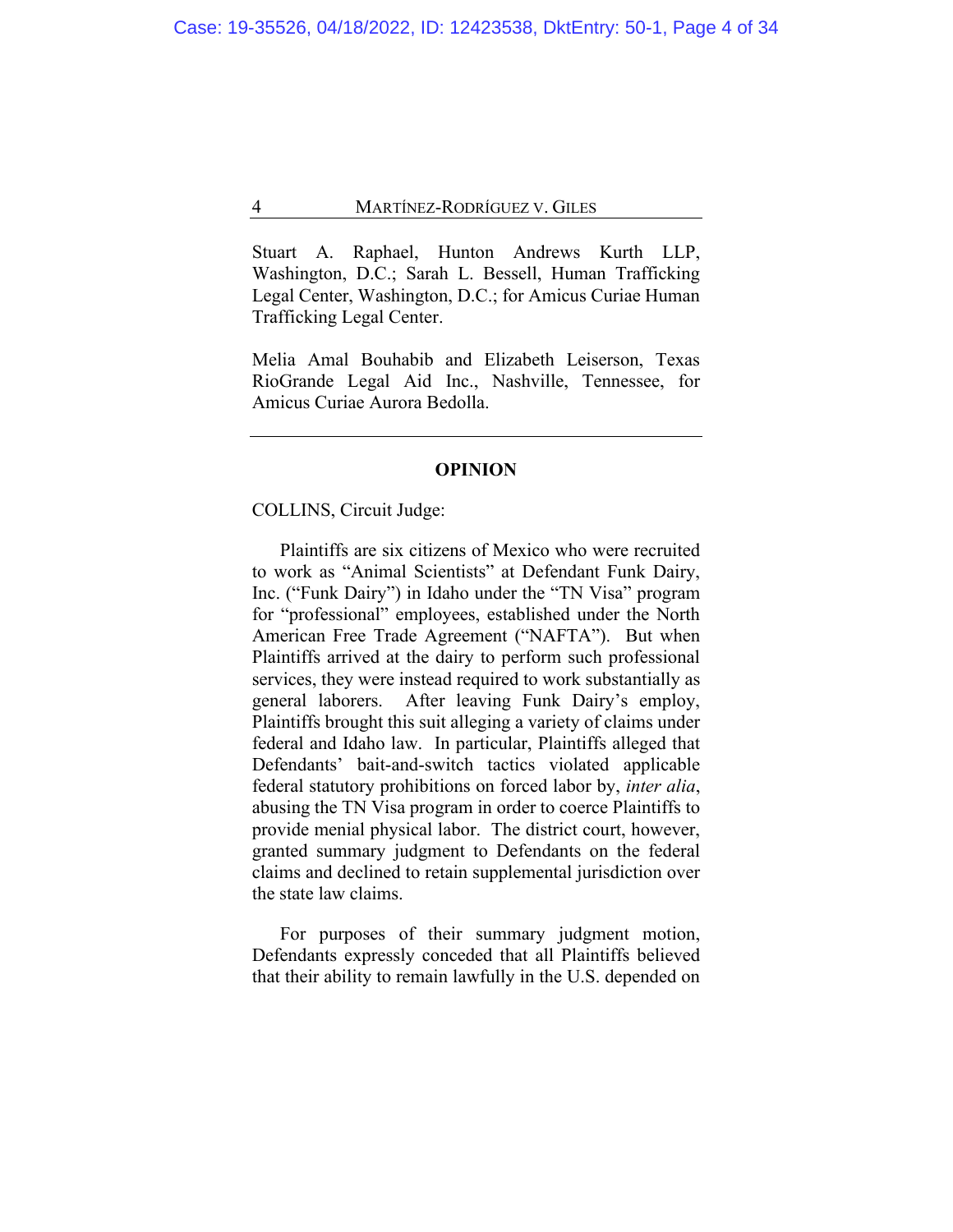Stuart A. Raphael, Hunton Andrews Kurth LLP, Washington, D.C.; Sarah L. Bessell, Human Trafficking Legal Center, Washington, D.C.; for Amicus Curiae Human Trafficking Legal Center.

Melia Amal Bouhabib and Elizabeth Leiserson, Texas RioGrande Legal Aid Inc., Nashville, Tennessee, for Amicus Curiae Aurora Bedolla.

# **OPINION**

# COLLINS, Circuit Judge:

Plaintiffs are six citizens of Mexico who were recruited to work as "Animal Scientists" at Defendant Funk Dairy, Inc. ("Funk Dairy") in Idaho under the "TN Visa" program for "professional" employees, established under the North American Free Trade Agreement ("NAFTA"). But when Plaintiffs arrived at the dairy to perform such professional services, they were instead required to work substantially as general laborers. After leaving Funk Dairy's employ, Plaintiffs brought this suit alleging a variety of claims under federal and Idaho law. In particular, Plaintiffs alleged that Defendants' bait-and-switch tactics violated applicable federal statutory prohibitions on forced labor by, *inter alia*, abusing the TN Visa program in order to coerce Plaintiffs to provide menial physical labor. The district court, however, granted summary judgment to Defendants on the federal claims and declined to retain supplemental jurisdiction over the state law claims.

For purposes of their summary judgment motion, Defendants expressly conceded that all Plaintiffs believed that their ability to remain lawfully in the U.S. depended on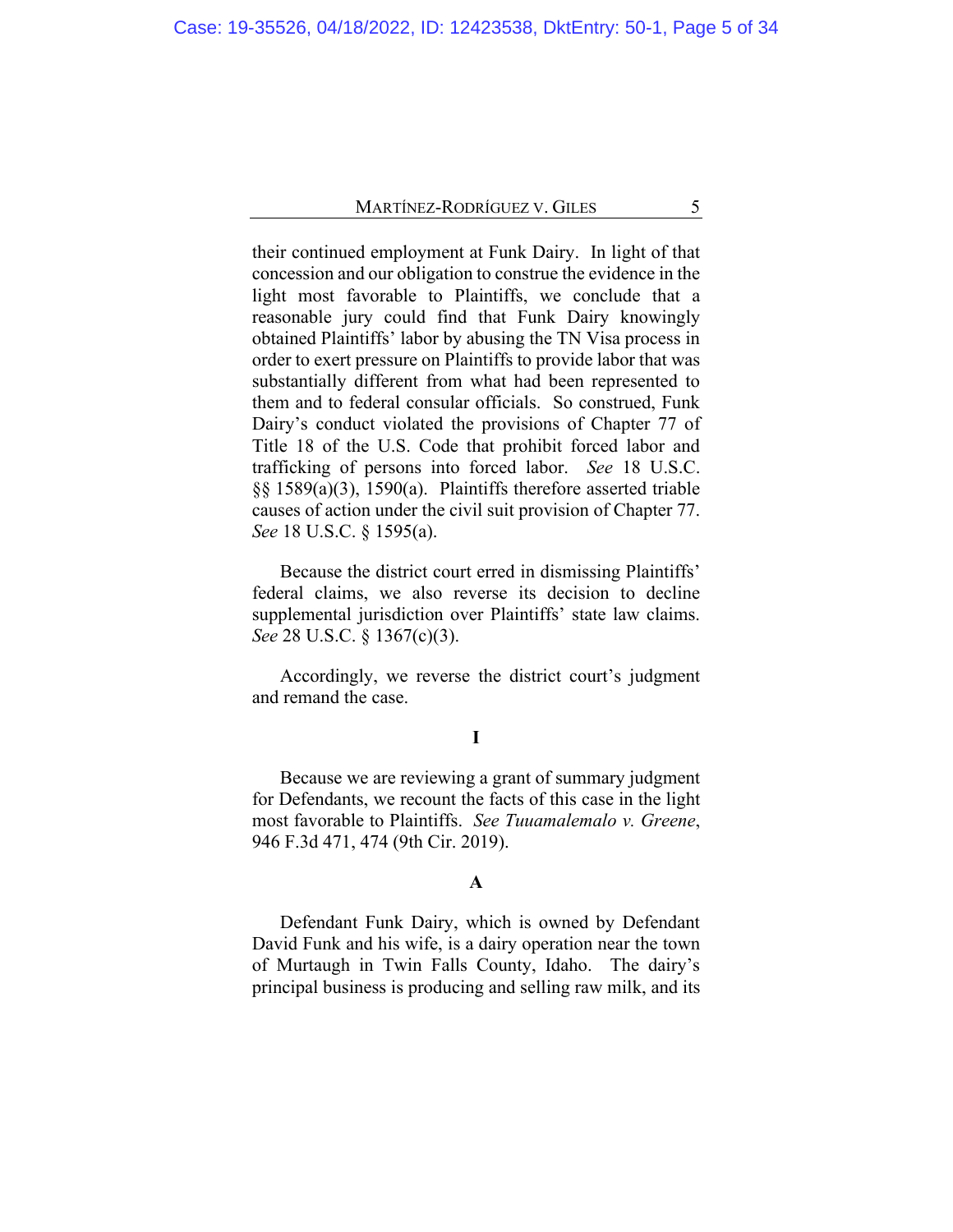their continued employment at Funk Dairy. In light of that concession and our obligation to construe the evidence in the light most favorable to Plaintiffs, we conclude that a reasonable jury could find that Funk Dairy knowingly obtained Plaintiffs' labor by abusing the TN Visa process in order to exert pressure on Plaintiffs to provide labor that was substantially different from what had been represented to them and to federal consular officials. So construed, Funk Dairy's conduct violated the provisions of Chapter 77 of Title 18 of the U.S. Code that prohibit forced labor and trafficking of persons into forced labor. *See* 18 U.S.C. §§ 1589(a)(3), 1590(a). Plaintiffs therefore asserted triable causes of action under the civil suit provision of Chapter 77. *See* 18 U.S.C. § 1595(a).

Because the district court erred in dismissing Plaintiffs' federal claims, we also reverse its decision to decline supplemental jurisdiction over Plaintiffs' state law claims. *See* 28 U.S.C. § 1367(c)(3).

Accordingly, we reverse the district court's judgment and remand the case.

# **I**

Because we are reviewing a grant of summary judgment for Defendants, we recount the facts of this case in the light most favorable to Plaintiffs. *See Tuuamalemalo v. Greene*, 946 F.3d 471, 474 (9th Cir. 2019).

# **A**

Defendant Funk Dairy, which is owned by Defendant David Funk and his wife, is a dairy operation near the town of Murtaugh in Twin Falls County, Idaho. The dairy's principal business is producing and selling raw milk, and its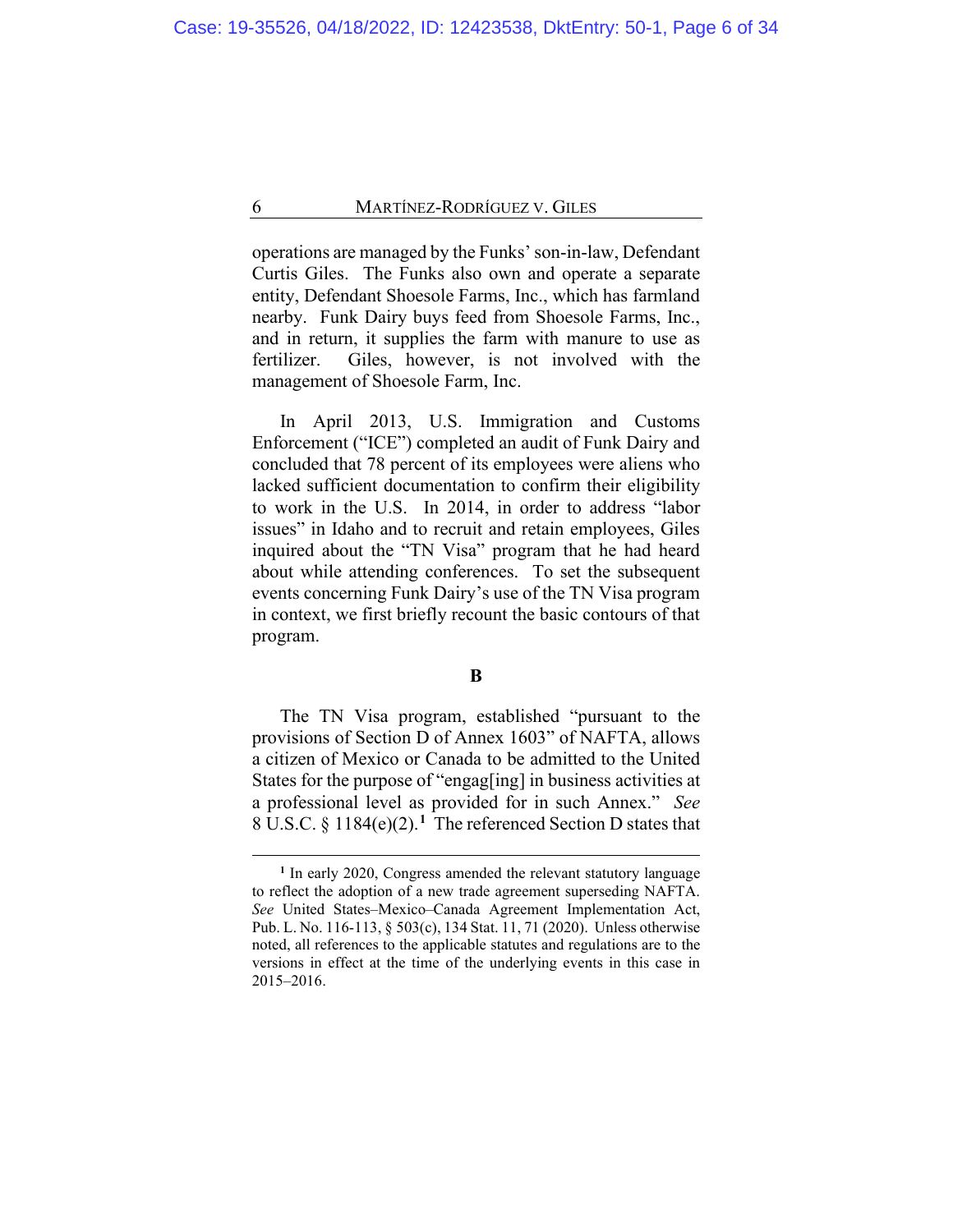operations are managed by the Funks' son-in-law, Defendant Curtis Giles. The Funks also own and operate a separate entity, Defendant Shoesole Farms, Inc., which has farmland nearby. Funk Dairy buys feed from Shoesole Farms, Inc., and in return, it supplies the farm with manure to use as fertilizer. Giles, however, is not involved with the management of Shoesole Farm, Inc.

In April 2013, U.S. Immigration and Customs Enforcement ("ICE") completed an audit of Funk Dairy and concluded that 78 percent of its employees were aliens who lacked sufficient documentation to confirm their eligibility to work in the U.S. In 2014, in order to address "labor issues" in Idaho and to recruit and retain employees, Giles inquired about the "TN Visa" program that he had heard about while attending conferences. To set the subsequent events concerning Funk Dairy's use of the TN Visa program in context, we first briefly recount the basic contours of that program.

The TN Visa program, established "pursuant to the provisions of Section D of Annex 1603" of NAFTA, allows a citizen of Mexico or Canada to be admitted to the United States for the purpose of "engag[ing] in business activities at a professional level as provided for in such Annex." *See* 8 U.S.C. § 1184(e)(2).**[1](#page-5-0)** The referenced Section D states that

**B**

<span id="page-5-0"></span>**<sup>1</sup>** In early 2020, Congress amended the relevant statutory language to reflect the adoption of a new trade agreement superseding NAFTA. *See* United States–Mexico–Canada Agreement Implementation Act, Pub. L. No. 116-113, § 503(c), 134 Stat. 11, 71 (2020). Unless otherwise noted, all references to the applicable statutes and regulations are to the versions in effect at the time of the underlying events in this case in 2015–2016.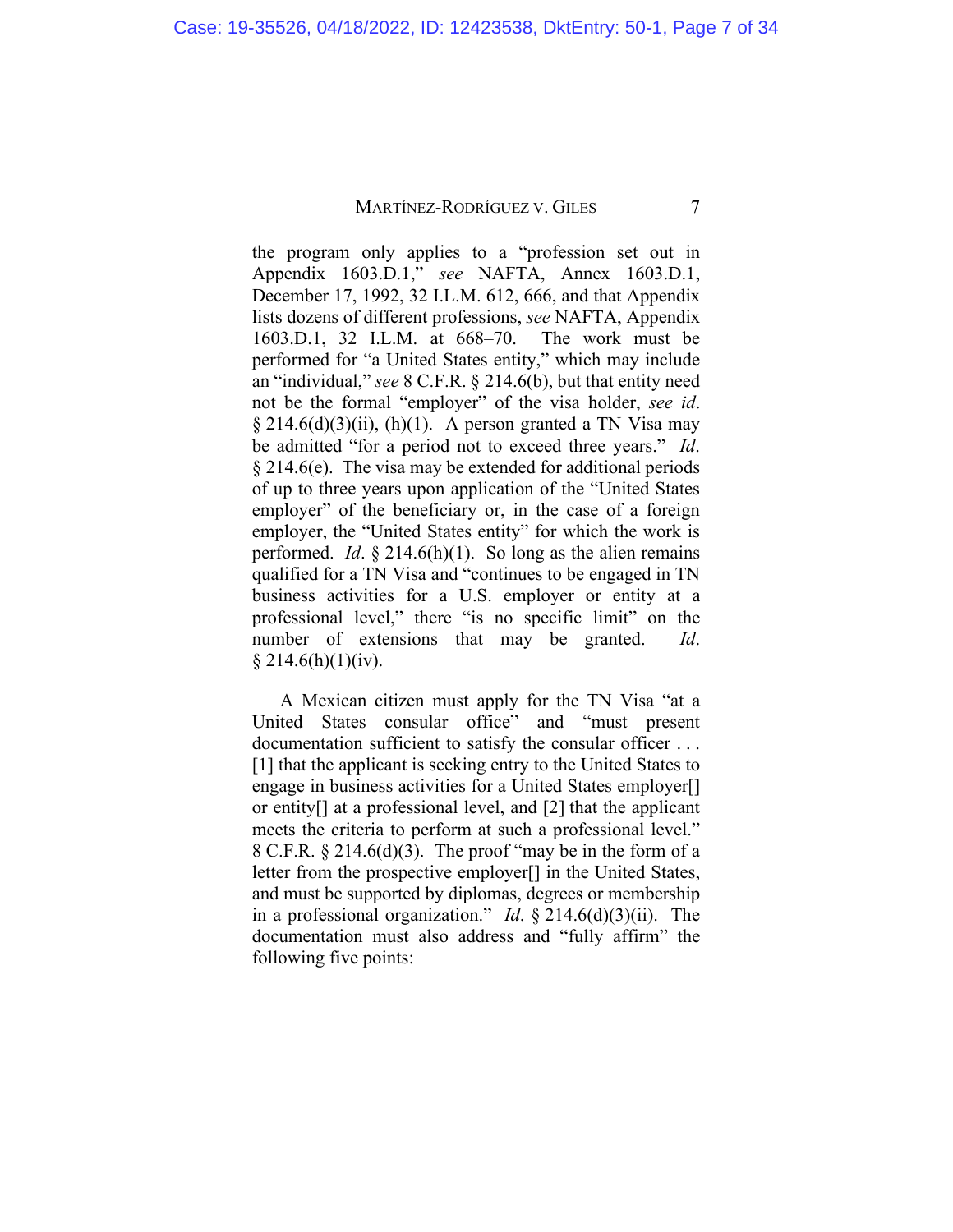the program only applies to a "profession set out in Appendix 1603.D.1," *see* NAFTA, Annex 1603.D.1, December 17, 1992, 32 I.L.M. 612, 666, and that Appendix lists dozens of different professions, *see* NAFTA, Appendix 1603.D.1, 32 I.L.M. at 668–70. The work must be performed for "a United States entity," which may include an "individual," *see* 8 C.F.R. § 214.6(b), but that entity need not be the formal "employer" of the visa holder, *see id*.  $\S 214.6(d)(3)(ii)$ , (h)(1). A person granted a TN Visa may be admitted "for a period not to exceed three years." *Id*. § 214.6(e). The visa may be extended for additional periods of up to three years upon application of the "United States employer" of the beneficiary or, in the case of a foreign employer, the "United States entity" for which the work is performed. *Id*. § 214.6(h)(1). So long as the alien remains qualified for a TN Visa and "continues to be engaged in TN business activities for a U.S. employer or entity at a professional level," there "is no specific limit" on the number of extensions that may be granted. *Id*.  $§$  214.6(h)(1)(iv).

<span id="page-6-0"></span>A Mexican citizen must apply for the TN Visa "at a United States consular office" and "must present documentation sufficient to satisfy the consular officer . . . [1] that the applicant is seeking entry to the United States to engage in business activities for a United States employer[] or entity[] at a professional level, and [2] that the applicant meets the criteria to perform at such a professional level." 8 C.F.R.  $\S 214.6(d)(3)$ . The proof "may be in the form of a letter from the prospective employer[] in the United States, and must be supported by diplomas, degrees or membership in a professional organization." *Id*. § 214.6(d)(3)(ii). The documentation must also address and "fully affirm" the following five points: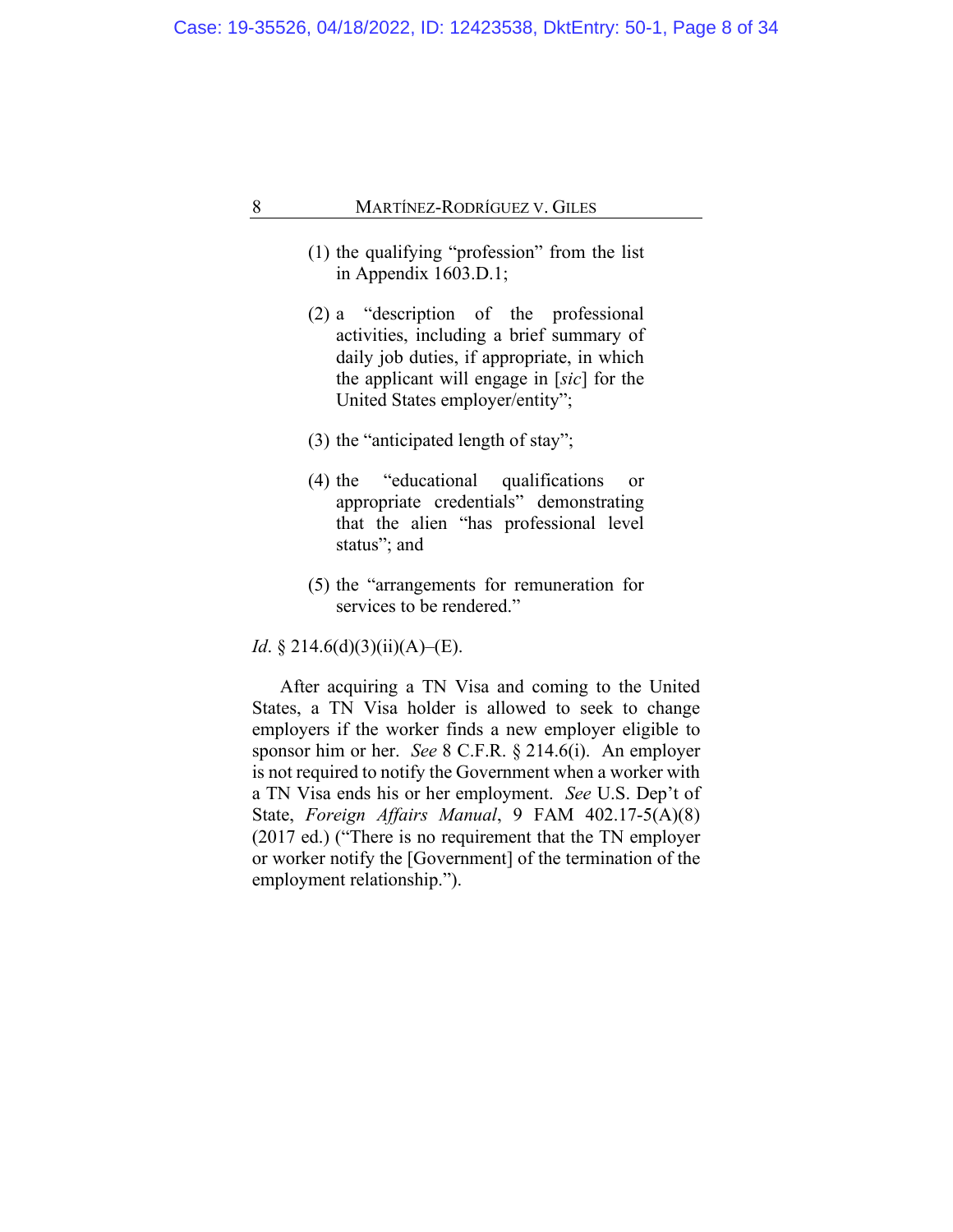- (1) the qualifying "profession" from the list in Appendix 1603.D.1;
- (2) a "description of the professional activities, including a brief summary of daily job duties, if appropriate, in which the applicant will engage in [*sic*] for the United States employer/entity";
- (3) the "anticipated length of stay";
- (4) the "educational qualifications or appropriate credentials" demonstrating that the alien "has professional level status"; and
- (5) the "arrangements for remuneration for services to be rendered."

*Id*. § 214.6(d)(3)(ii)(A)–(E).

<span id="page-7-0"></span>After acquiring a TN Visa and coming to the United States, a TN Visa holder is allowed to seek to change employers if the worker finds a new employer eligible to sponsor him or her. *See* 8 C.F.R. § 214.6(i). An employer is not required to notify the Government when a worker with a TN Visa ends his or her employment. *See* U.S. Dep't of State, *Foreign Affairs Manual*, 9 FAM 402.17-5(A)(8) (2017 ed.) ("There is no requirement that the TN employer or worker notify the [Government] of the termination of the employment relationship.").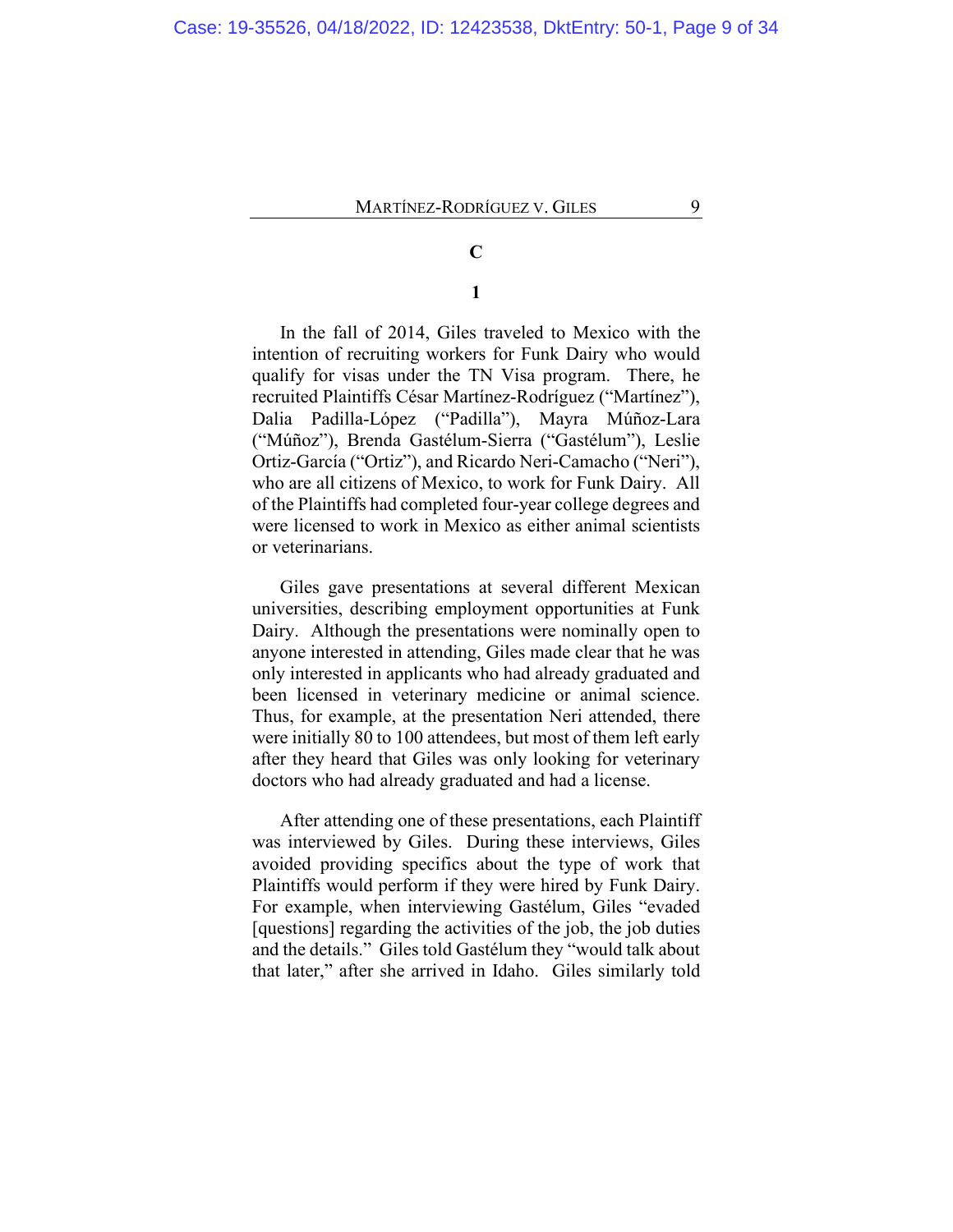# **C**

# **1**

In the fall of 2014, Giles traveled to Mexico with the intention of recruiting workers for Funk Dairy who would qualify for visas under the TN Visa program. There, he recruited Plaintiffs César Martínez-Rodríguez ("Martínez"), Dalia Padilla-López ("Padilla"), Mayra Múñoz-Lara ("Múñoz"), Brenda Gastélum-Sierra ("Gastélum"), Leslie Ortiz-García ("Ortiz"), and Ricardo Neri-Camacho ("Neri"), who are all citizens of Mexico, to work for Funk Dairy. All of the Plaintiffs had completed four-year college degrees and were licensed to work in Mexico as either animal scientists or veterinarians.

Giles gave presentations at several different Mexican universities, describing employment opportunities at Funk Dairy. Although the presentations were nominally open to anyone interested in attending, Giles made clear that he was only interested in applicants who had already graduated and been licensed in veterinary medicine or animal science. Thus, for example, at the presentation Neri attended, there were initially 80 to 100 attendees, but most of them left early after they heard that Giles was only looking for veterinary doctors who had already graduated and had a license.

<span id="page-8-0"></span>After attending one of these presentations, each Plaintiff was interviewed by Giles. During these interviews, Giles avoided providing specifics about the type of work that Plaintiffs would perform if they were hired by Funk Dairy. For example, when interviewing Gastélum, Giles "evaded [questions] regarding the activities of the job, the job duties and the details." Giles told Gastélum they "would talk about that later," after she arrived in Idaho. Giles similarly told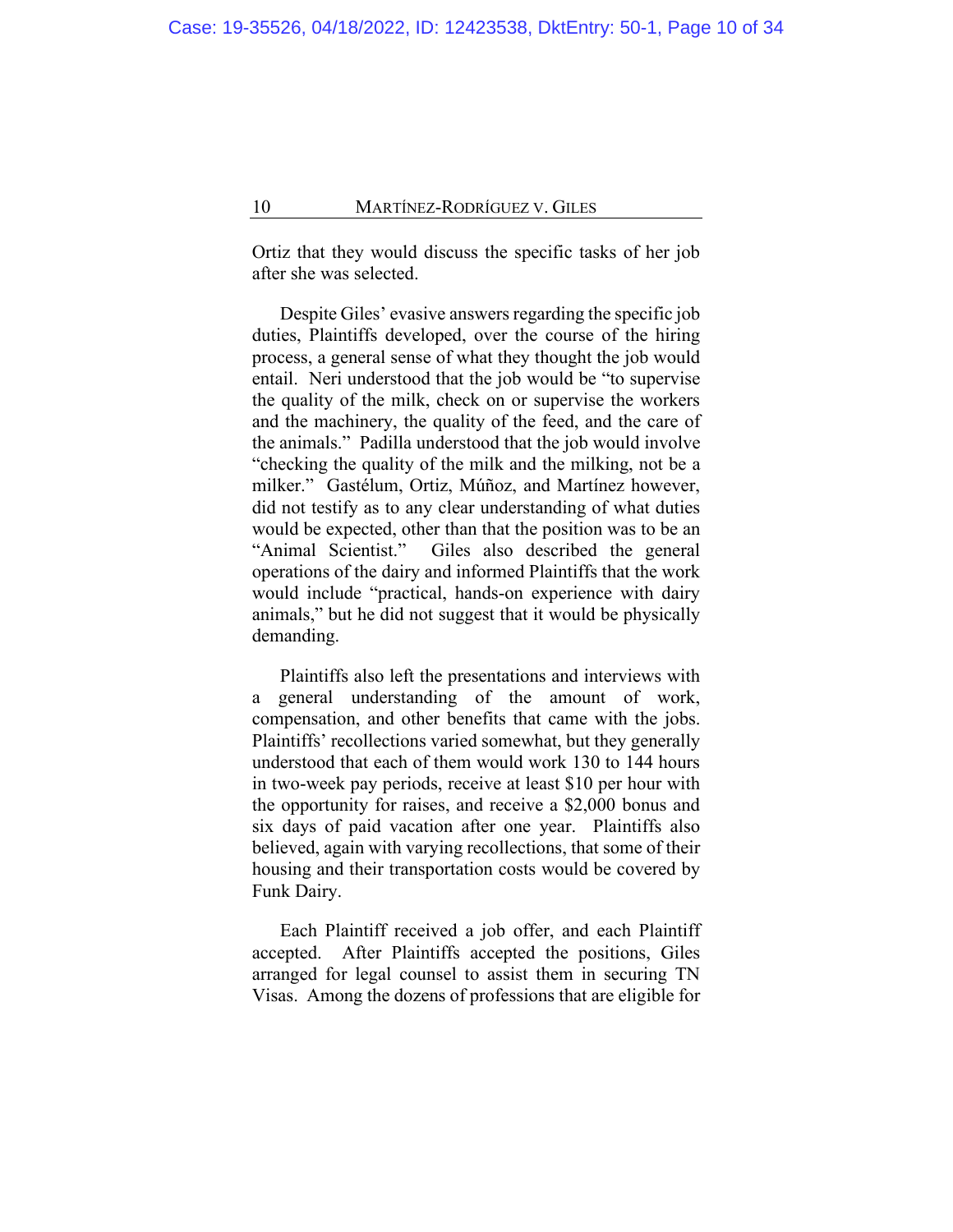Ortiz that they would discuss the specific tasks of her job after she was selected.

Despite Giles' evasive answers regarding the specific job duties, Plaintiffs developed, over the course of the hiring process, a general sense of what they thought the job would entail. Neri understood that the job would be "to supervise the quality of the milk, check on or supervise the workers and the machinery, the quality of the feed, and the care of the animals." Padilla understood that the job would involve "checking the quality of the milk and the milking, not be a milker." Gastélum, Ortiz, Múñoz, and Martínez however, did not testify as to any clear understanding of what duties would be expected, other than that the position was to be an "Animal Scientist." Giles also described the general operations of the dairy and informed Plaintiffs that the work would include "practical, hands-on experience with dairy animals," but he did not suggest that it would be physically demanding.

<span id="page-9-0"></span>Plaintiffs also left the presentations and interviews with a general understanding of the amount of work, compensation, and other benefits that came with the jobs. Plaintiffs' recollections varied somewhat, but they generally understood that each of them would work 130 to 144 hours in two-week pay periods, receive at least \$10 per hour with the opportunity for raises, and receive a \$2,000 bonus and six days of paid vacation after one year. Plaintiffs also believed, again with varying recollections, that some of their housing and their transportation costs would be covered by Funk Dairy.

Each Plaintiff received a job offer, and each Plaintiff accepted. After Plaintiffs accepted the positions, Giles arranged for legal counsel to assist them in securing TN Visas. Among the dozens of professions that are eligible for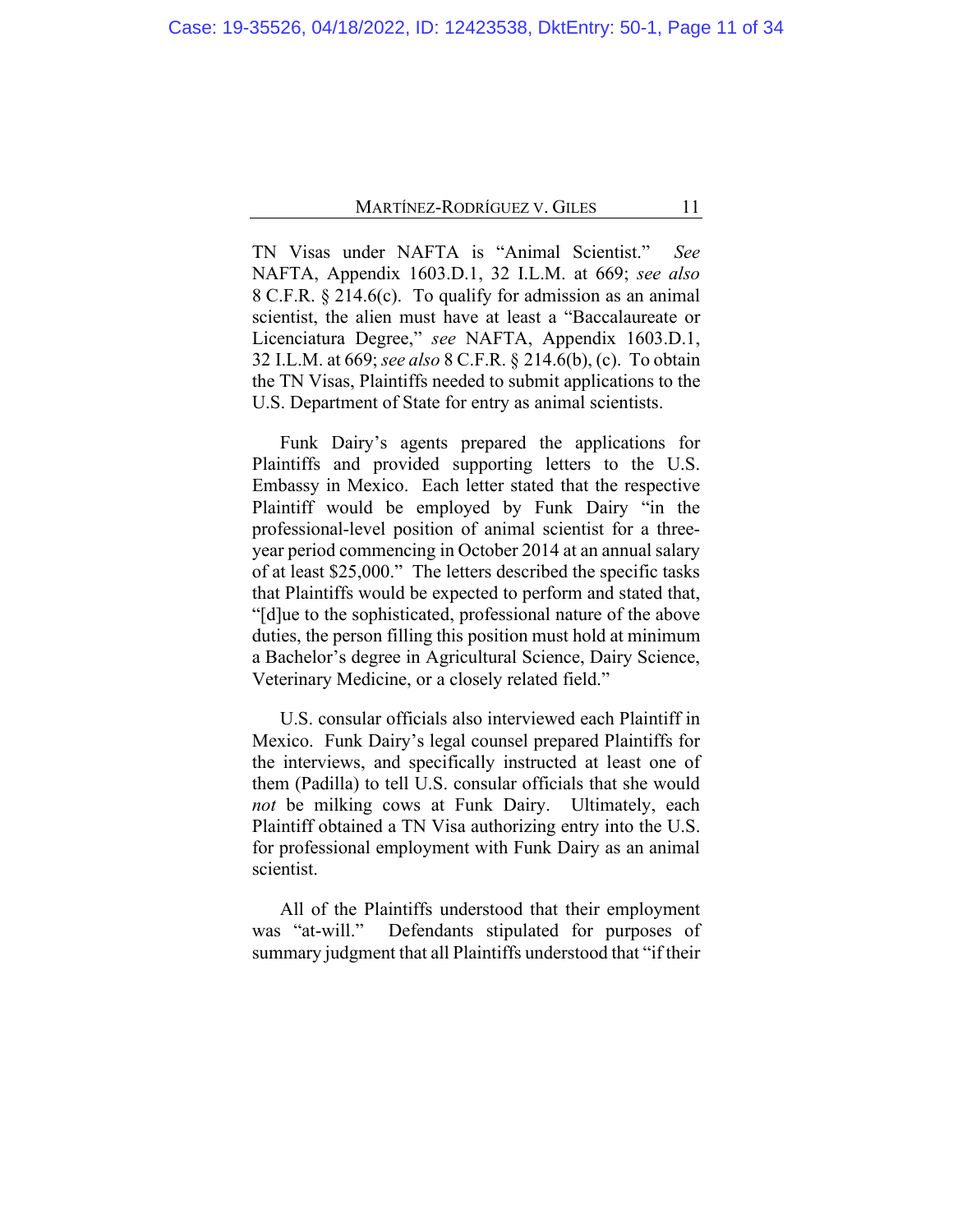TN Visas under NAFTA is "Animal Scientist." *See* NAFTA, Appendix 1603.D.1, 32 I.L.M. at 669; *see also* 8 C.F.R. § 214.6(c). To qualify for admission as an animal scientist, the alien must have at least a "Baccalaureate or Licenciatura Degree," *see* NAFTA, Appendix 1603.D.1, 32 I.L.M. at 669; *see also* 8 C.F.R. § 214.6(b), (c). To obtain the TN Visas, Plaintiffs needed to submit applications to the U.S. Department of State for entry as animal scientists.

Funk Dairy's agents prepared the applications for Plaintiffs and provided supporting letters to the U.S. Embassy in Mexico. Each letter stated that the respective Plaintiff would be employed by Funk Dairy "in the professional-level position of animal scientist for a threeyear period commencing in October 2014 at an annual salary of at least \$25,000." The letters described the specific tasks that Plaintiffs would be expected to perform and stated that, "[d]ue to the sophisticated, professional nature of the above duties, the person filling this position must hold at minimum a Bachelor's degree in Agricultural Science, Dairy Science, Veterinary Medicine, or a closely related field."

U.S. consular officials also interviewed each Plaintiff in Mexico. Funk Dairy's legal counsel prepared Plaintiffs for the interviews, and specifically instructed at least one of them (Padilla) to tell U.S. consular officials that she would *not* be milking cows at Funk Dairy. Ultimately, each Plaintiff obtained a TN Visa authorizing entry into the U.S. for professional employment with Funk Dairy as an animal scientist.

All of the Plaintiffs understood that their employment was "at-will." Defendants stipulated for purposes of summary judgment that all Plaintiffs understood that "if their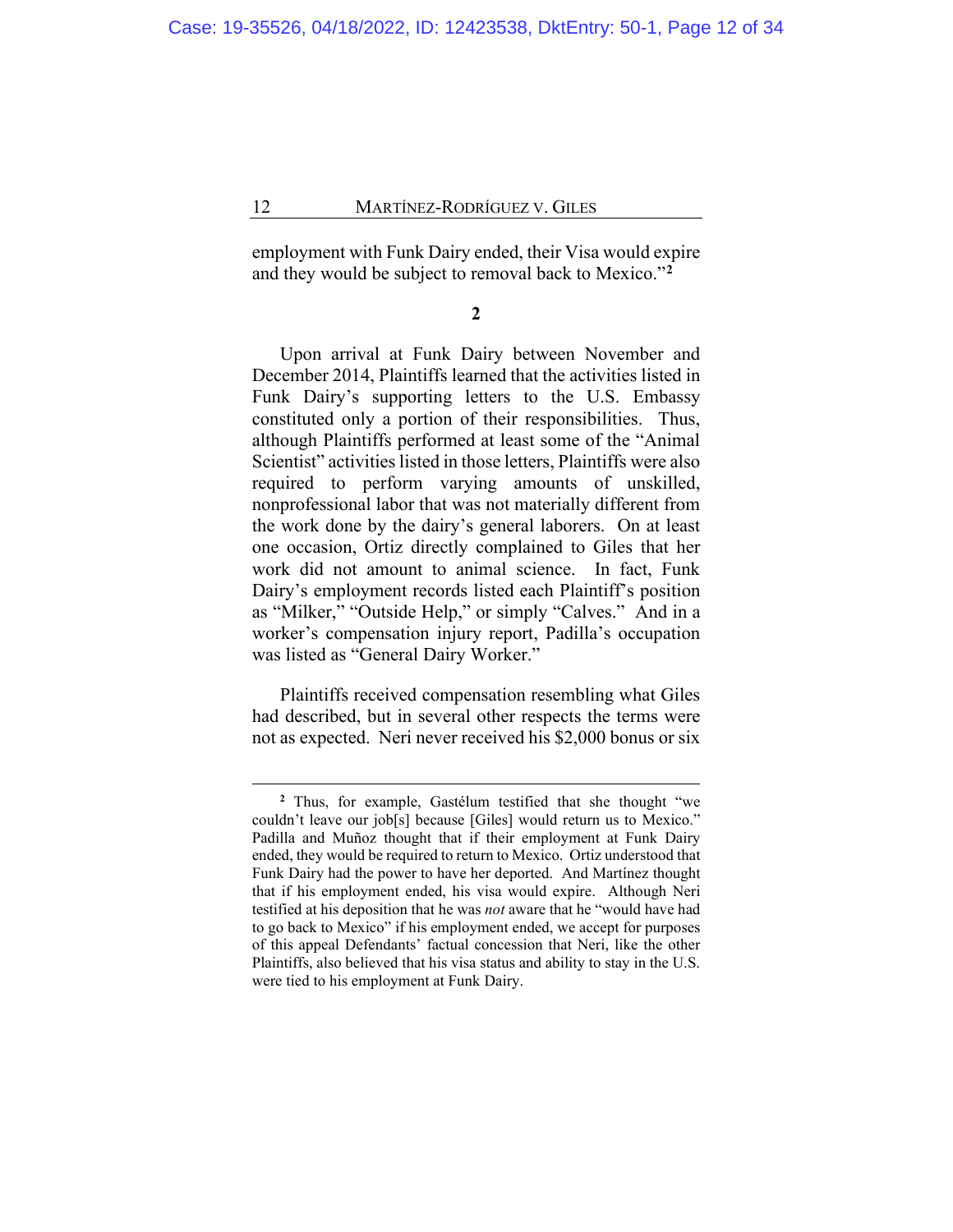employment with Funk Dairy ended, their Visa would expire and they would be subject to removal back to Mexico."**[2](#page-11-0)**

**2**

Upon arrival at Funk Dairy between November and December 2014, Plaintiffs learned that the activities listed in Funk Dairy's supporting letters to the U.S. Embassy constituted only a portion of their responsibilities. Thus, although Plaintiffs performed at least some of the "Animal Scientist" activities listed in those letters, Plaintiffs were also required to perform varying amounts of unskilled, nonprofessional labor that was not materially different from the work done by the dairy's general laborers. On at least one occasion, Ortiz directly complained to Giles that her work did not amount to animal science. In fact, Funk Dairy's employment records listed each Plaintiff's position as "Milker," "Outside Help," or simply "Calves." And in a worker's compensation injury report, Padilla's occupation was listed as "General Dairy Worker."

Plaintiffs received compensation resembling what Giles had described, but in several other respects the terms were not as expected. Neri never received his \$2,000 bonus or six

<span id="page-11-1"></span><span id="page-11-0"></span>**<sup>2</sup>** Thus, for example, Gastélum testified that she thought "we couldn't leave our job[s] because [Giles] would return us to Mexico." Padilla and Muñoz thought that if their employment at Funk Dairy ended, they would be required to return to Mexico. Ortiz understood that Funk Dairy had the power to have her deported. And Martínez thought that if his employment ended, his visa would expire. Although Neri testified at his deposition that he was *not* aware that he "would have had to go back to Mexico" if his employment ended, we accept for purposes of this appeal Defendants' factual concession that Neri, like the other Plaintiffs, also believed that his visa status and ability to stay in the U.S. were tied to his employment at Funk Dairy.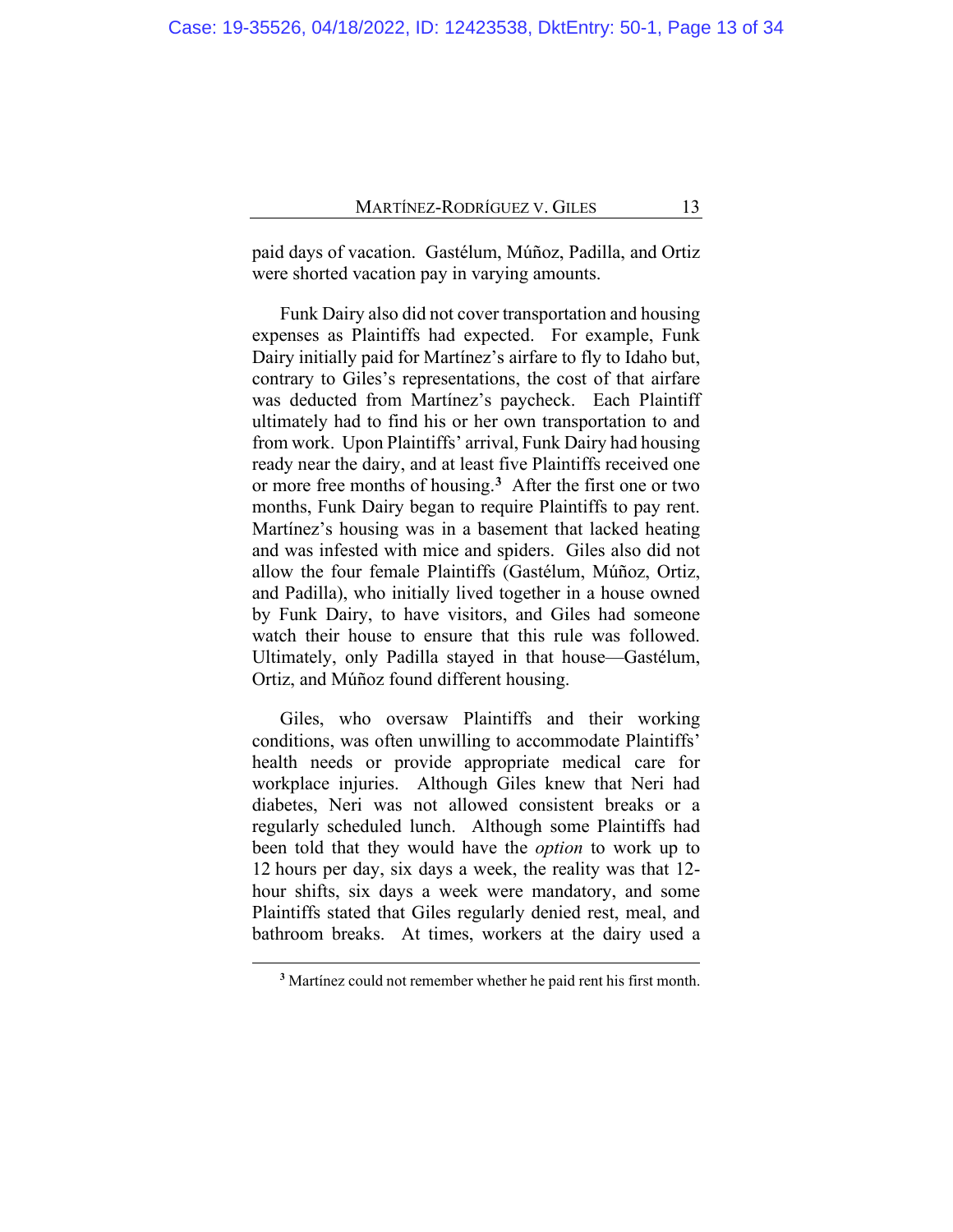paid days of vacation. Gastélum, Múñoz, Padilla, and Ortiz were shorted vacation pay in varying amounts.

Funk Dairy also did not cover transportation and housing expenses as Plaintiffs had expected. For example, Funk Dairy initially paid for Martínez's airfare to fly to Idaho but, contrary to Giles's representations, the cost of that airfare was deducted from Martínez's paycheck. Each Plaintiff ultimately had to find his or her own transportation to and from work. Upon Plaintiffs' arrival, Funk Dairy had housing ready near the dairy, and at least five Plaintiffs received one or more free months of housing.**[3](#page-12-0)** After the first one or two months, Funk Dairy began to require Plaintiffs to pay rent. Martínez's housing was in a basement that lacked heating and was infested with mice and spiders. Giles also did not allow the four female Plaintiffs (Gastélum, Múñoz, Ortiz, and Padilla), who initially lived together in a house owned by Funk Dairy, to have visitors, and Giles had someone watch their house to ensure that this rule was followed. Ultimately, only Padilla stayed in that house—Gastélum, Ortiz, and Múñoz found different housing.

Giles, who oversaw Plaintiffs and their working conditions, was often unwilling to accommodate Plaintiffs' health needs or provide appropriate medical care for workplace injuries. Although Giles knew that Neri had diabetes, Neri was not allowed consistent breaks or a regularly scheduled lunch. Although some Plaintiffs had been told that they would have the *option* to work up to 12 hours per day, six days a week, the reality was that 12 hour shifts, six days a week were mandatory, and some Plaintiffs stated that Giles regularly denied rest, meal, and bathroom breaks. At times, workers at the dairy used a

<span id="page-12-0"></span>**<sup>3</sup>** Martínez could not remember whether he paid rent his first month.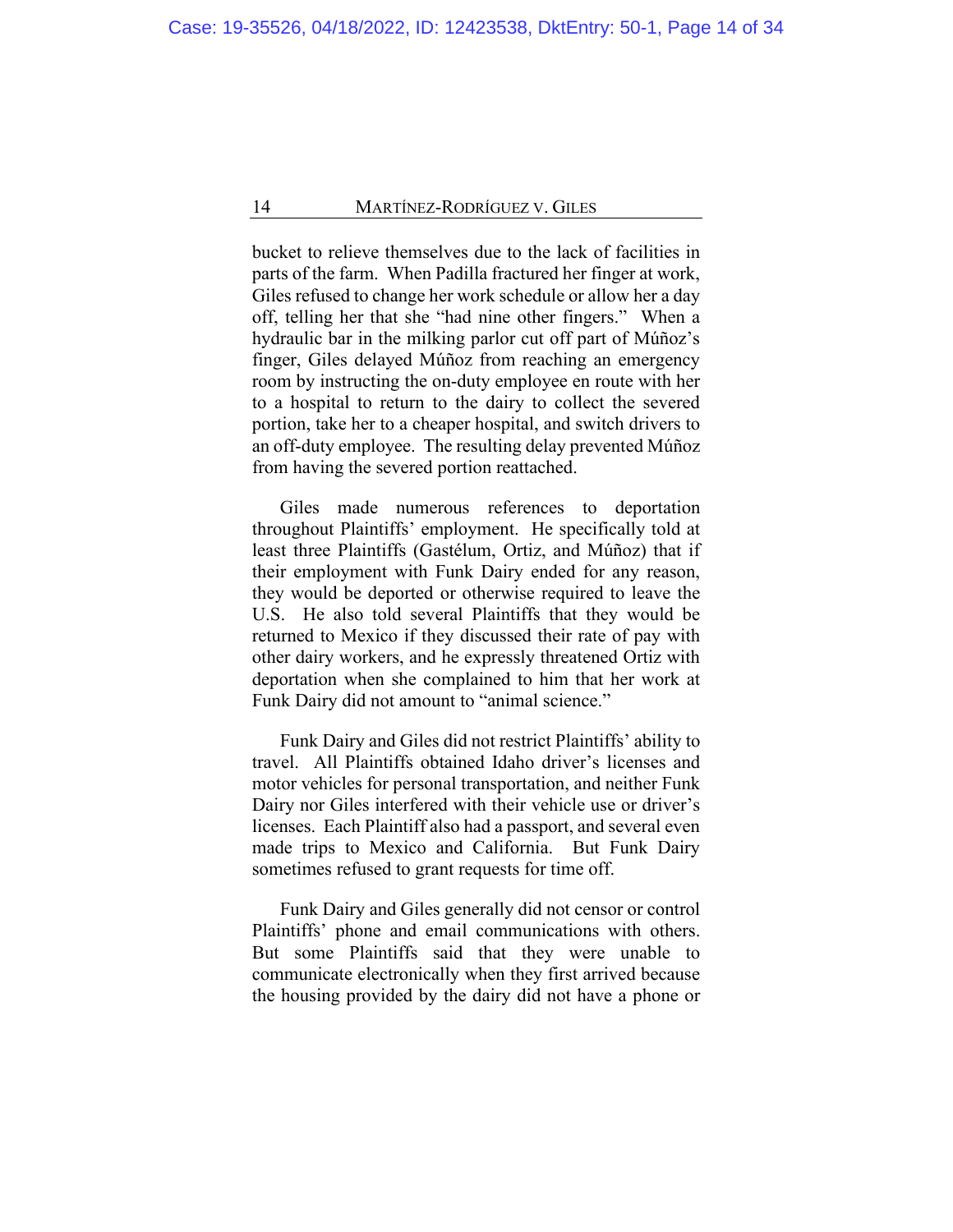bucket to relieve themselves due to the lack of facilities in parts of the farm. When Padilla fractured her finger at work, Giles refused to change her work schedule or allow her a day off, telling her that she "had nine other fingers." When a hydraulic bar in the milking parlor cut off part of Múñoz's finger, Giles delayed Múñoz from reaching an emergency room by instructing the on-duty employee en route with her to a hospital to return to the dairy to collect the severed portion, take her to a cheaper hospital, and switch drivers to an off-duty employee. The resulting delay prevented Múñoz from having the severed portion reattached.

Giles made numerous references to deportation throughout Plaintiffs' employment. He specifically told at least three Plaintiffs (Gastélum, Ortiz, and Múñoz) that if their employment with Funk Dairy ended for any reason, they would be deported or otherwise required to leave the U.S. He also told several Plaintiffs that they would be returned to Mexico if they discussed their rate of pay with other dairy workers, and he expressly threatened Ortiz with deportation when she complained to him that her work at Funk Dairy did not amount to "animal science."

Funk Dairy and Giles did not restrict Plaintiffs' ability to travel. All Plaintiffs obtained Idaho driver's licenses and motor vehicles for personal transportation, and neither Funk Dairy nor Giles interfered with their vehicle use or driver's licenses. Each Plaintiff also had a passport, and several even made trips to Mexico and California. But Funk Dairy sometimes refused to grant requests for time off.

Funk Dairy and Giles generally did not censor or control Plaintiffs' phone and email communications with others. But some Plaintiffs said that they were unable to communicate electronically when they first arrived because the housing provided by the dairy did not have a phone or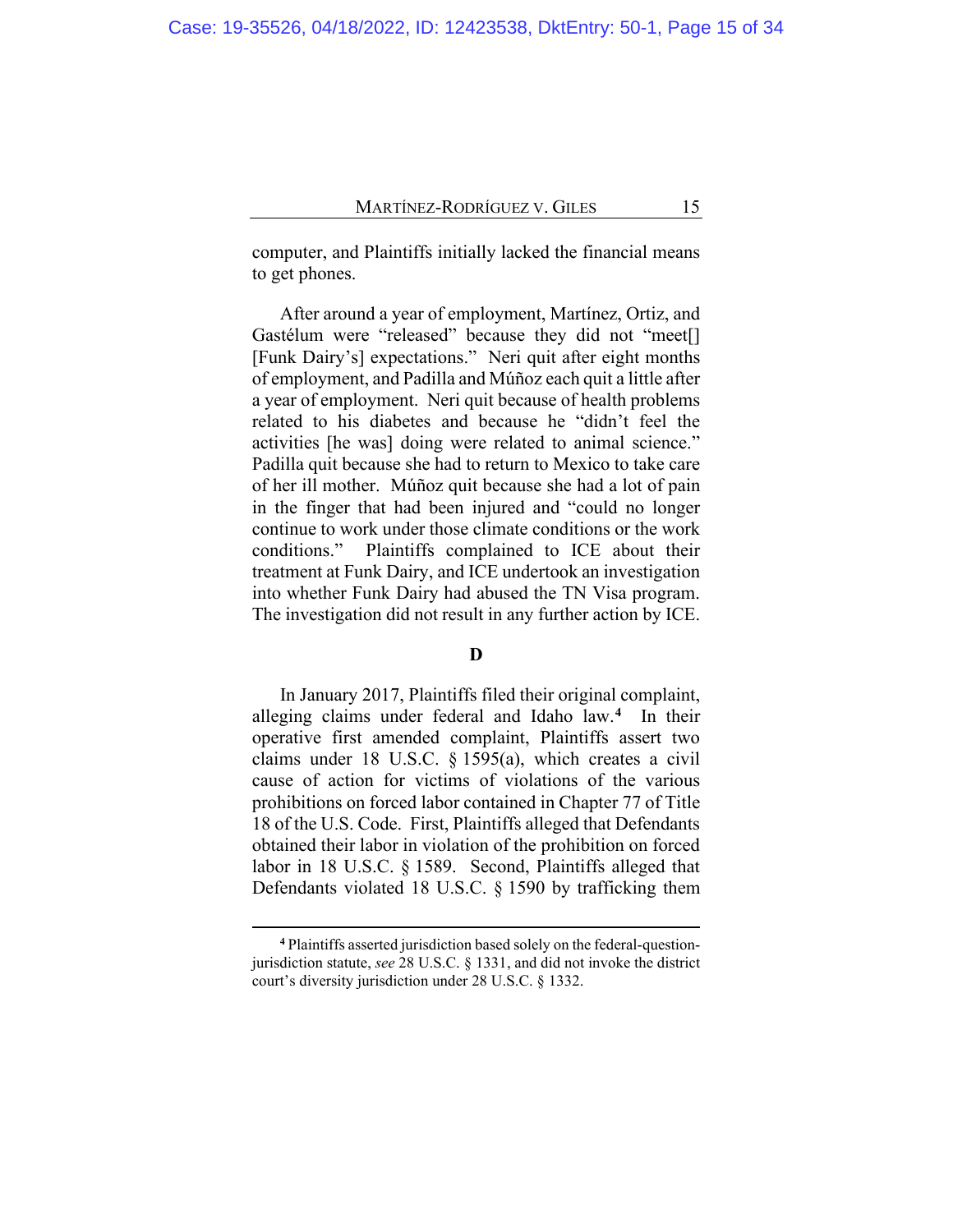computer, and Plaintiffs initially lacked the financial means to get phones.

After around a year of employment, Martínez, Ortiz, and Gastélum were "released" because they did not "meet[] [Funk Dairy's] expectations." Neri quit after eight months of employment, and Padilla and Múñoz each quit a little after a year of employment. Neri quit because of health problems related to his diabetes and because he "didn't feel the activities [he was] doing were related to animal science." Padilla quit because she had to return to Mexico to take care of her ill mother. Múñoz quit because she had a lot of pain in the finger that had been injured and "could no longer continue to work under those climate conditions or the work conditions." Plaintiffs complained to ICE about their treatment at Funk Dairy, and ICE undertook an investigation into whether Funk Dairy had abused the TN Visa program. The investigation did not result in any further action by ICE.

# **D**

In January 2017, Plaintiffs filed their original complaint, alleging claims under federal and Idaho law.**[4](#page-14-0)** In their operative first amended complaint, Plaintiffs assert two claims under 18 U.S.C. § 1595(a), which creates a civil cause of action for victims of violations of the various prohibitions on forced labor contained in Chapter 77 of Title 18 of the U.S. Code. First, Plaintiffs alleged that Defendants obtained their labor in violation of the prohibition on forced labor in 18 U.S.C. § 1589. Second, Plaintiffs alleged that Defendants violated 18 U.S.C. § 1590 by trafficking them

<span id="page-14-0"></span>**<sup>4</sup>** Plaintiffs asserted jurisdiction based solely on the federal-questionjurisdiction statute, *see* 28 U.S.C. § 1331, and did not invoke the district court's diversity jurisdiction under 28 U.S.C. § 1332.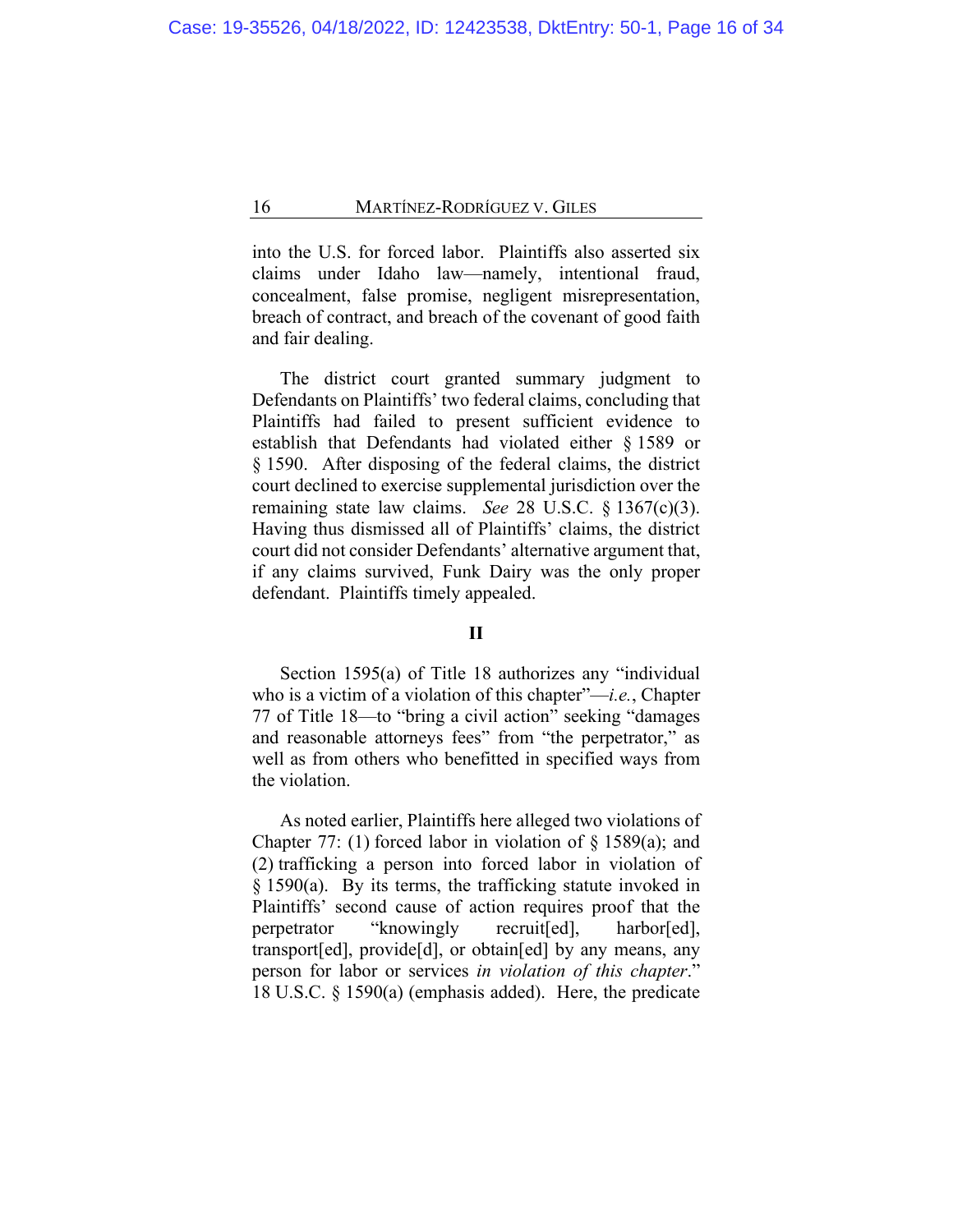into the U.S. for forced labor. Plaintiffs also asserted six claims under Idaho law—namely, intentional fraud, concealment, false promise, negligent misrepresentation, breach of contract, and breach of the covenant of good faith and fair dealing.

The district court granted summary judgment to Defendants on Plaintiffs' two federal claims, concluding that Plaintiffs had failed to present sufficient evidence to establish that Defendants had violated either § 1589 or § 1590. After disposing of the federal claims, the district court declined to exercise supplemental jurisdiction over the remaining state law claims. *See* 28 U.S.C. § 1367(c)(3). Having thus dismissed all of Plaintiffs' claims, the district court did not consider Defendants' alternative argument that, if any claims survived, Funk Dairy was the only proper defendant. Plaintiffs timely appealed.

# **II**

Section 1595(a) of Title 18 authorizes any "individual who is a victim of a violation of this chapter"—*i.e.*, Chapter 77 of Title 18—to "bring a civil action" seeking "damages and reasonable attorneys fees" from "the perpetrator," as well as from others who benefitted in specified ways from the violation.

As noted earlier, Plaintiffs here alleged two violations of Chapter 77: (1) forced labor in violation of  $\S$  1589(a); and (2) trafficking a person into forced labor in violation of § 1590(a). By its terms, the trafficking statute invoked in Plaintiffs' second cause of action requires proof that the perpetrator "knowingly recruit[ed], harbor[ed], transport[ed], provide[d], or obtain[ed] by any means, any person for labor or services *in violation of this chapter*." 18 U.S.C. § 1590(a) (emphasis added). Here, the predicate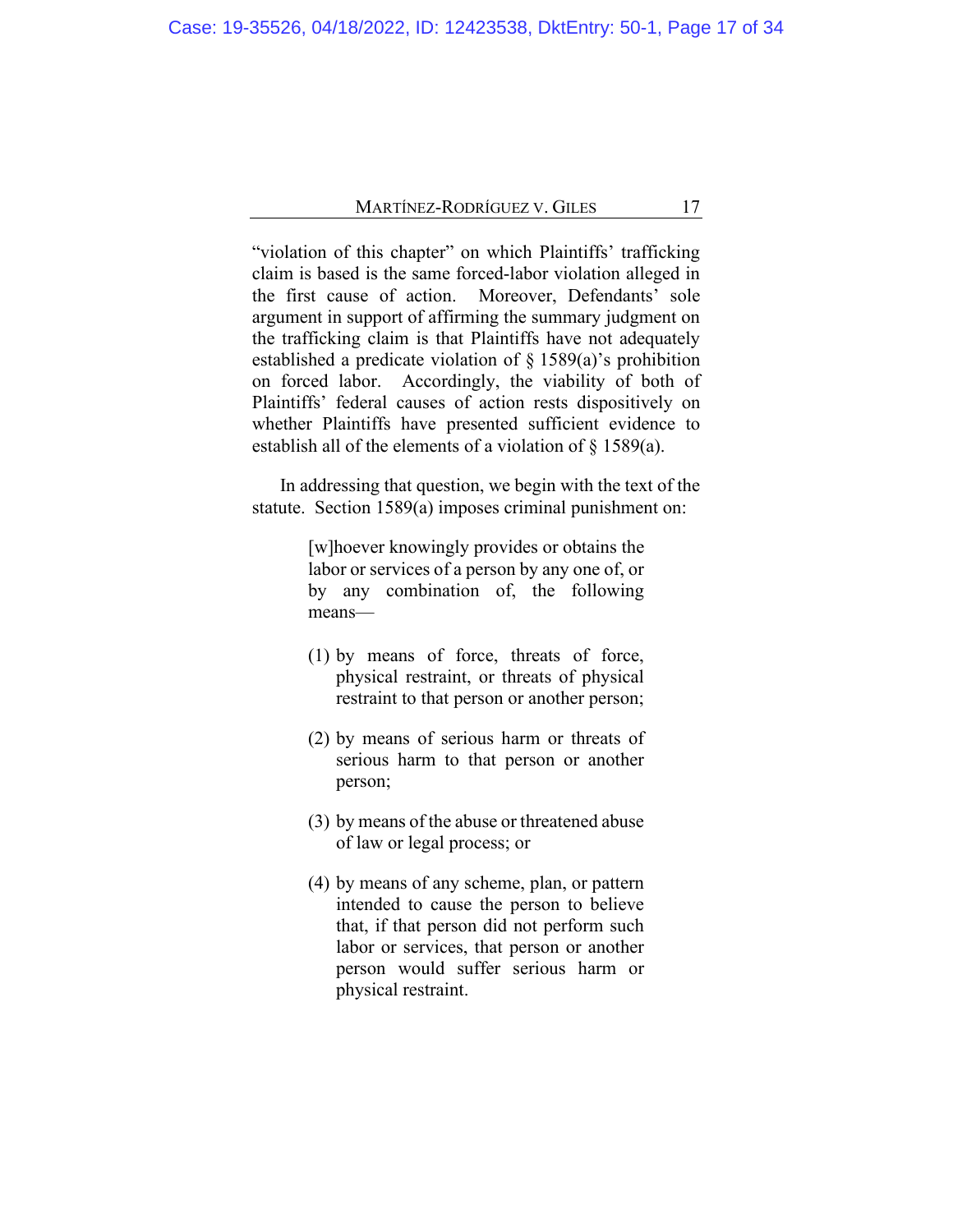"violation of this chapter" on which Plaintiffs' trafficking claim is based is the same forced-labor violation alleged in the first cause of action. Moreover, Defendants' sole argument in support of affirming the summary judgment on the trafficking claim is that Plaintiffs have not adequately established a predicate violation of § 1589(a)'s prohibition on forced labor. Accordingly, the viability of both of Plaintiffs' federal causes of action rests dispositively on whether Plaintiffs have presented sufficient evidence to establish all of the elements of a violation of § 1589(a).

In addressing that question, we begin with the text of the statute. Section 1589(a) imposes criminal punishment on:

> [w]hoever knowingly provides or obtains the labor or services of a person by any one of, or by any combination of, the following means—

- (1) by means of force, threats of force, physical restraint, or threats of physical restraint to that person or another person;
- (2) by means of serious harm or threats of serious harm to that person or another person;
- (3) by means of the abuse or threatened abuse of law or legal process; or
- (4) by means of any scheme, plan, or pattern intended to cause the person to believe that, if that person did not perform such labor or services, that person or another person would suffer serious harm or physical restraint.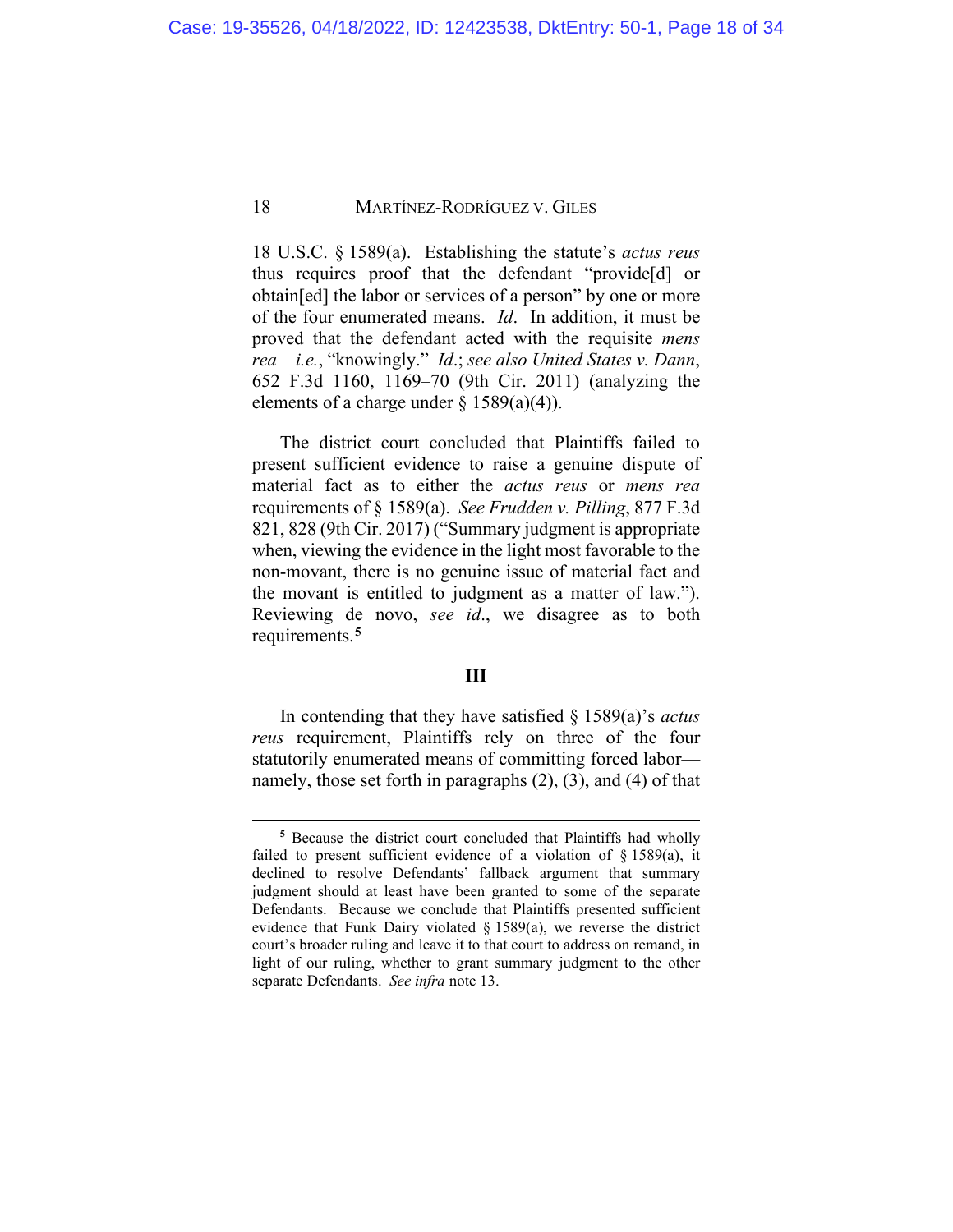18 U.S.C. § 1589(a). Establishing the statute's *actus reus* thus requires proof that the defendant "provide[d] or obtain[ed] the labor or services of a person" by one or more of the four enumerated means. *Id*. In addition, it must be proved that the defendant acted with the requisite *mens rea*—*i.e.*, "knowingly." *Id*.; *see also United States v. Dann*, 652 F.3d 1160, 1169–70 (9th Cir. 2011) (analyzing the elements of a charge under  $\S$  1589(a)(4)).

The district court concluded that Plaintiffs failed to present sufficient evidence to raise a genuine dispute of material fact as to either the *actus reus* or *mens rea* requirements of § 1589(a). *See Frudden v. Pilling*, 877 F.3d 821, 828 (9th Cir. 2017) ("Summary judgment is appropriate when, viewing the evidence in the light most favorable to the non-movant, there is no genuine issue of material fact and the movant is entitled to judgment as a matter of law."). Reviewing de novo, *see id*., we disagree as to both requirements.**[5](#page-17-0)**

# **III**

In contending that they have satisfied § 1589(a)'s *actus reus* requirement, Plaintiffs rely on three of the four statutorily enumerated means of committing forced labor namely, those set forth in paragraphs (2), (3), and (4) of that

<span id="page-17-0"></span>**<sup>5</sup>** Because the district court concluded that Plaintiffs had wholly failed to present sufficient evidence of a violation of § 1589(a), it declined to resolve Defendants' fallback argument that summary judgment should at least have been granted to some of the separate Defendants. Because we conclude that Plaintiffs presented sufficient evidence that Funk Dairy violated § 1589(a), we reverse the district court's broader ruling and leave it to that court to address on remand, in light of our ruling, whether to grant summary judgment to the other separate Defendants. *See infra* note 13.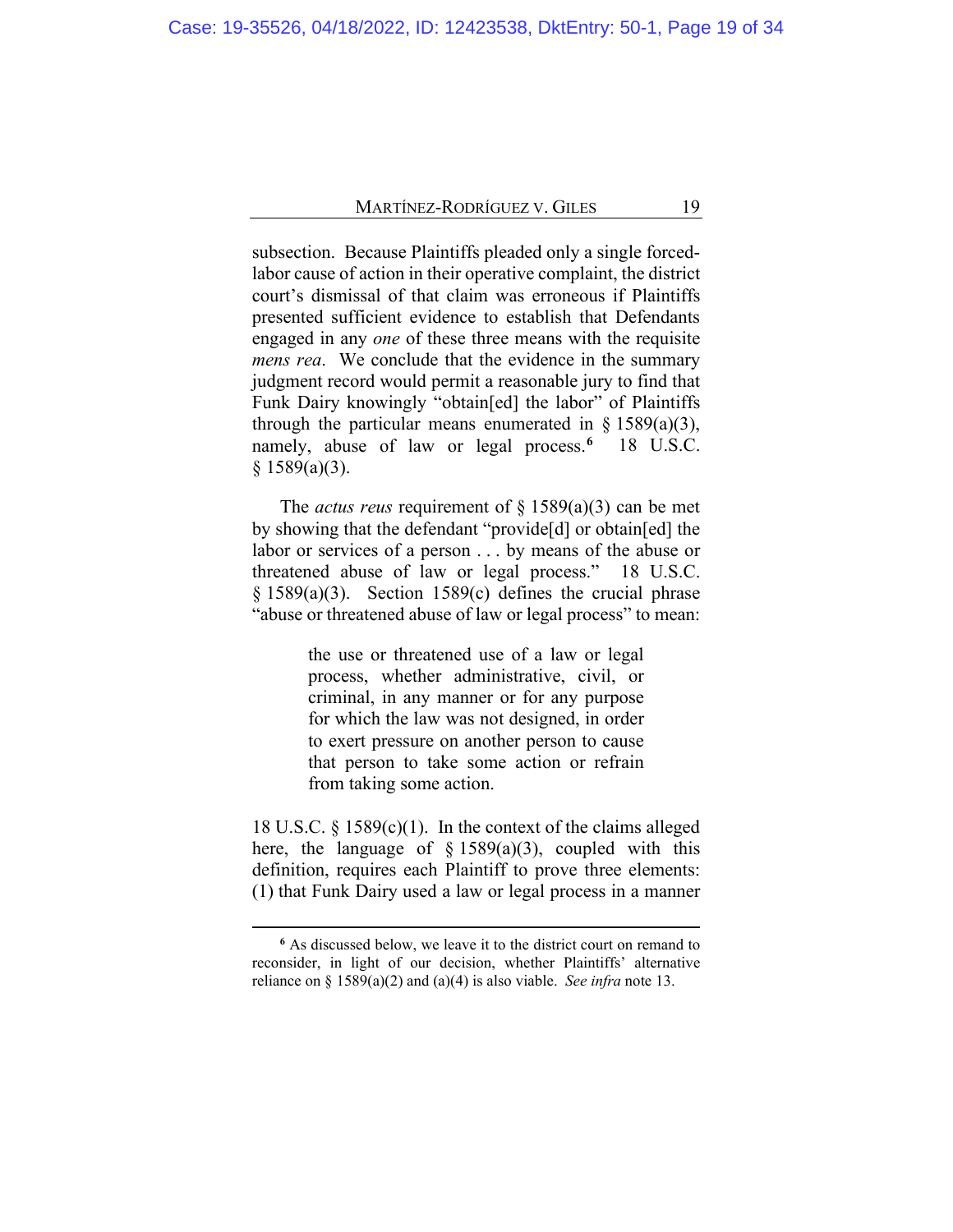subsection. Because Plaintiffs pleaded only a single forcedlabor cause of action in their operative complaint, the district court's dismissal of that claim was erroneous if Plaintiffs presented sufficient evidence to establish that Defendants engaged in any *one* of these three means with the requisite *mens rea*. We conclude that the evidence in the summary judgment record would permit a reasonable jury to find that Funk Dairy knowingly "obtain[ed] the labor" of Plaintiffs through the particular means enumerated in  $\S$  1589(a)(3), namely, abuse of law or legal process.**[6](#page-18-0)** 18 U.S.C.  $§$  1589(a)(3).

The *actus reus* requirement of § 1589(a)(3) can be met by showing that the defendant "provide[d] or obtain[ed] the labor or services of a person . . . by means of the abuse or threatened abuse of law or legal process." 18 U.S.C. § 1589(a)(3). Section 1589(c) defines the crucial phrase "abuse or threatened abuse of law or legal process" to mean:

> the use or threatened use of a law or legal process, whether administrative, civil, or criminal, in any manner or for any purpose for which the law was not designed, in order to exert pressure on another person to cause that person to take some action or refrain from taking some action.

18 U.S.C. § 1589(c)(1). In the context of the claims alleged here, the language of  $\S$  1589(a)(3), coupled with this definition, requires each Plaintiff to prove three elements: (1) that Funk Dairy used a law or legal process in a manner

<span id="page-18-0"></span>**<sup>6</sup>** As discussed below, we leave it to the district court on remand to reconsider, in light of our decision, whether Plaintiffs' alternative reliance on § 1589(a)(2) and (a)(4) is also viable. *See infra* note 13.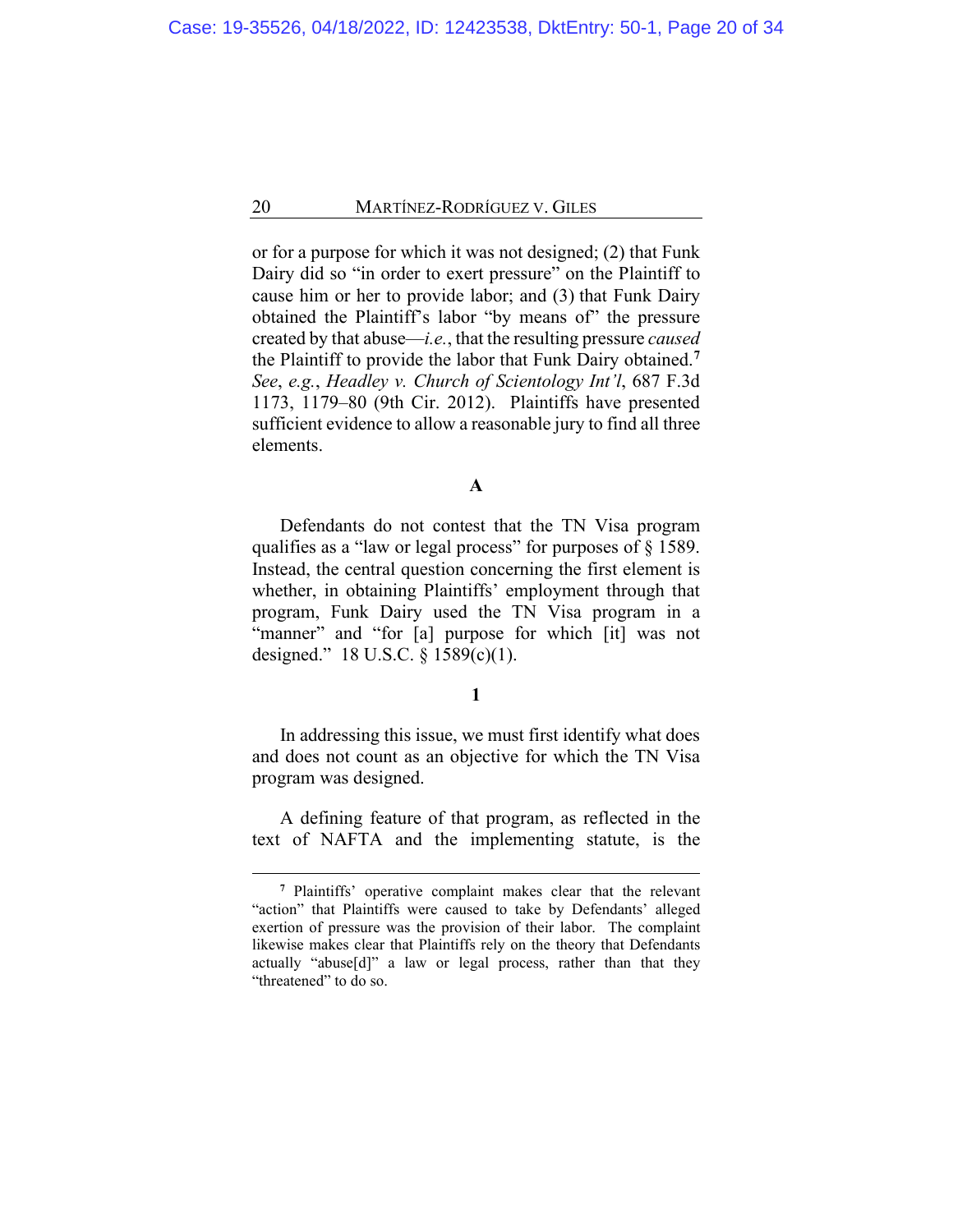or for a purpose for which it was not designed; (2) that Funk Dairy did so "in order to exert pressure" on the Plaintiff to cause him or her to provide labor; and (3) that Funk Dairy obtained the Plaintiff's labor "by means of" the pressure created by that abuse—*i.e.*, that the resulting pressure *caused* the Plaintiff to provide the labor that Funk Dairy obtained.**[7](#page-19-0)** *See*, *e.g.*, *Headley v. Church of Scientology Int'l*, 687 F.3d 1173, 1179–80 (9th Cir. 2012). Plaintiffs have presented sufficient evidence to allow a reasonable jury to find all three elements.

# **A**

Defendants do not contest that the TN Visa program qualifies as a "law or legal process" for purposes of § 1589. Instead, the central question concerning the first element is whether, in obtaining Plaintiffs' employment through that program, Funk Dairy used the TN Visa program in a "manner" and "for [a] purpose for which [it] was not designed." 18 U.S.C. § 1589(c)(1).

# **1**

In addressing this issue, we must first identify what does and does not count as an objective for which the TN Visa program was designed.

A defining feature of that program, as reflected in the text of NAFTA and the implementing statute, is the

<span id="page-19-0"></span>**<sup>7</sup>** Plaintiffs' operative complaint makes clear that the relevant "action" that Plaintiffs were caused to take by Defendants' alleged exertion of pressure was the provision of their labor. The complaint likewise makes clear that Plaintiffs rely on the theory that Defendants actually "abuse[d]" a law or legal process, rather than that they "threatened" to do so.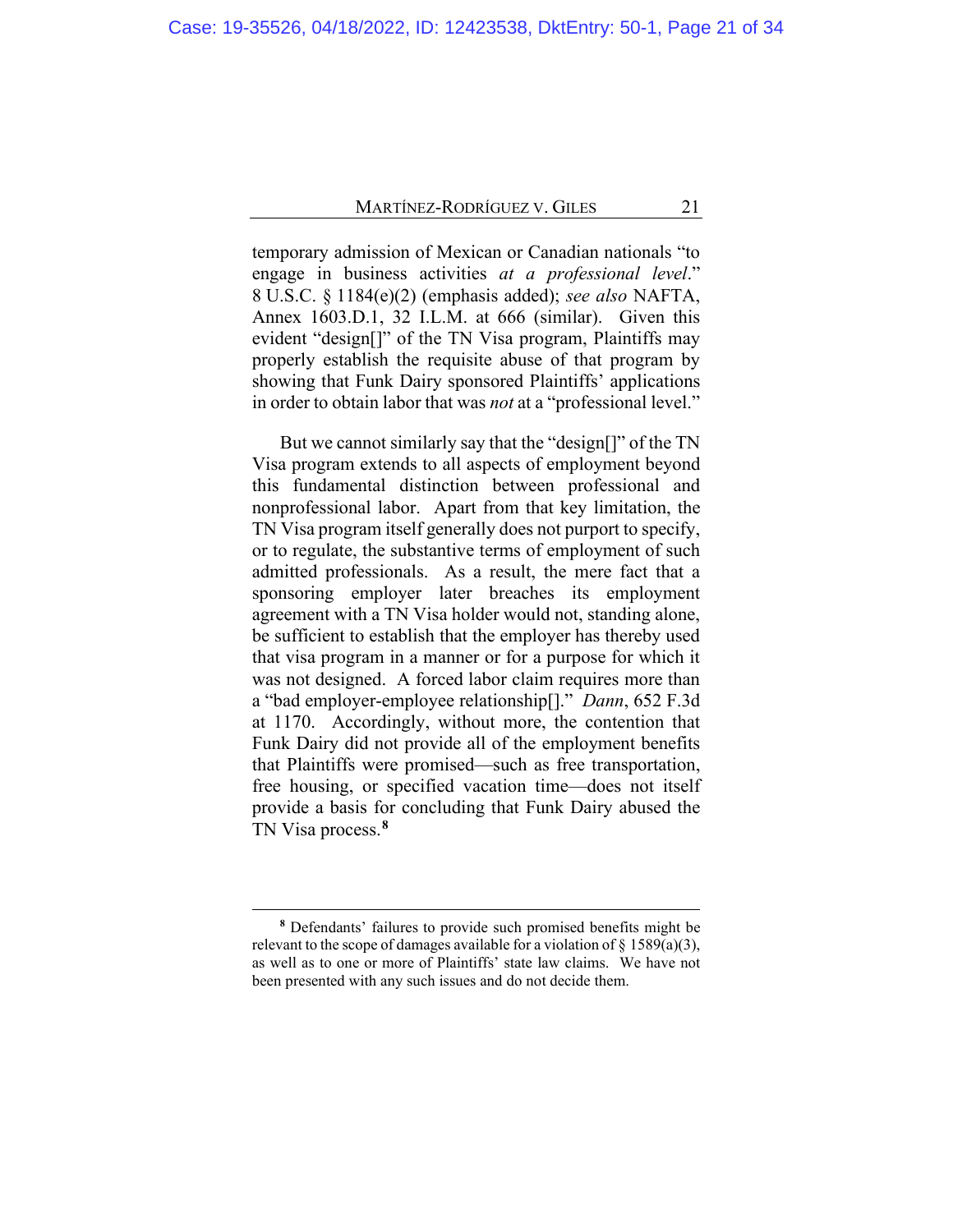temporary admission of Mexican or Canadian nationals "to engage in business activities *at a professional level*." 8 U.S.C. § 1184(e)(2) (emphasis added); *see also* NAFTA, Annex 1603.D.1, 32 I.L.M. at 666 (similar). Given this evident "design[]" of the TN Visa program, Plaintiffs may properly establish the requisite abuse of that program by showing that Funk Dairy sponsored Plaintiffs' applications in order to obtain labor that was *not* at a "professional level."

But we cannot similarly say that the "design[]" of the TN Visa program extends to all aspects of employment beyond this fundamental distinction between professional and nonprofessional labor. Apart from that key limitation, the TN Visa program itself generally does not purport to specify, or to regulate, the substantive terms of employment of such admitted professionals. As a result, the mere fact that a sponsoring employer later breaches its employment agreement with a TN Visa holder would not, standing alone, be sufficient to establish that the employer has thereby used that visa program in a manner or for a purpose for which it was not designed. A forced labor claim requires more than a "bad employer-employee relationship[]." *Dann*, 652 F.3d at 1170. Accordingly, without more, the contention that Funk Dairy did not provide all of the employment benefits that Plaintiffs were promised—such as free transportation, free housing, or specified vacation time—does not itself provide a basis for concluding that Funk Dairy abused the TN Visa process.**[8](#page-20-0)**

<span id="page-20-0"></span>**<sup>8</sup>** Defendants' failures to provide such promised benefits might be relevant to the scope of damages available for a violation of  $\S$  1589(a)(3), as well as to one or more of Plaintiffs' state law claims. We have not been presented with any such issues and do not decide them.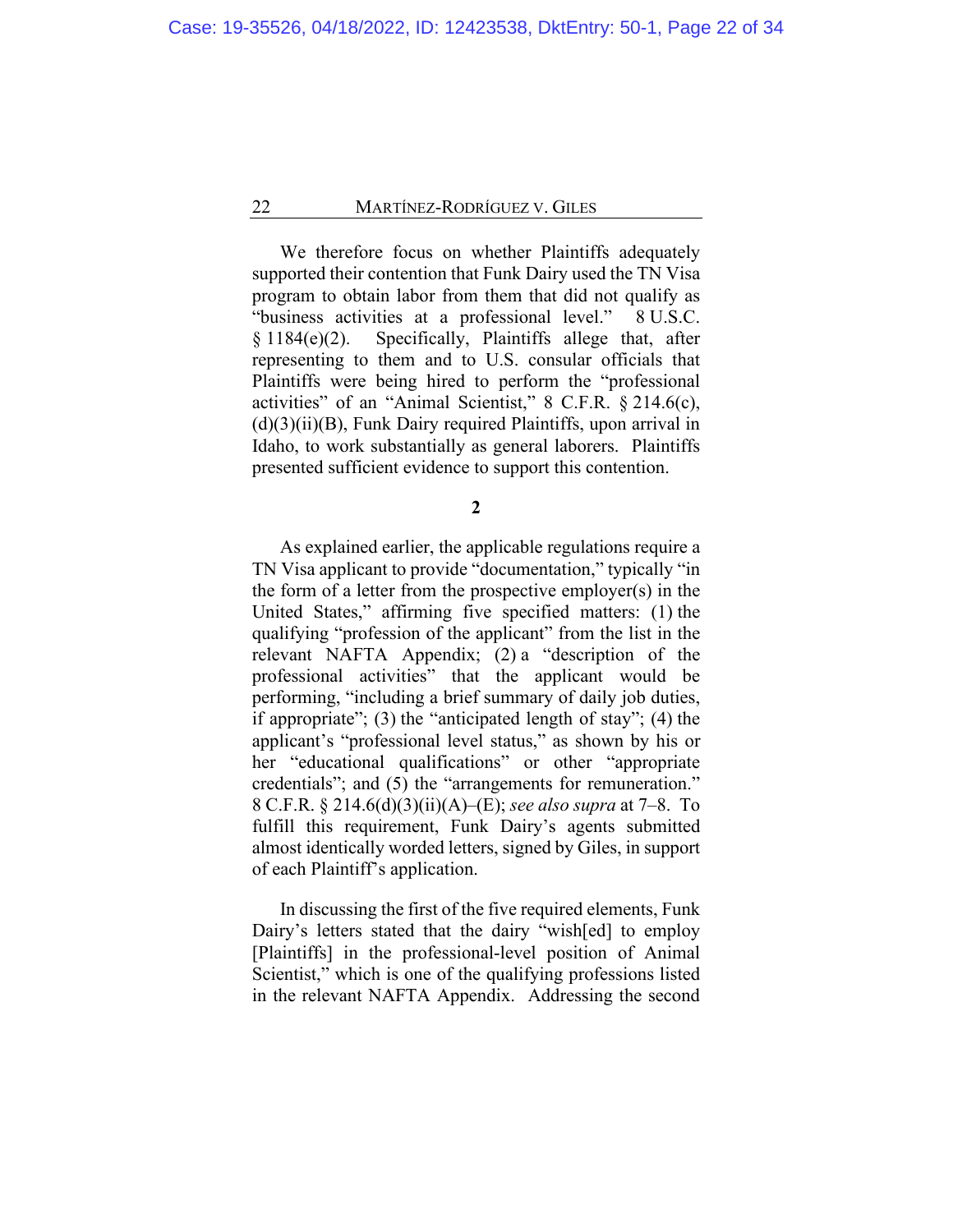We therefore focus on whether Plaintiffs adequately supported their contention that Funk Dairy used the TN Visa program to obtain labor from them that did not qualify as "business activities at a professional level." 8 U.S.C. § 1184(e)(2). Specifically, Plaintiffs allege that, after representing to them and to U.S. consular officials that Plaintiffs were being hired to perform the "professional activities" of an "Animal Scientist," 8 C.F.R. § 214.6(c),  $(d)(3)(ii)(B)$ , Funk Dairy required Plaintiffs, upon arrival in Idaho, to work substantially as general laborers. Plaintiffs presented sufficient evidence to support this contention.

**2**

As explained earlier, the applicable regulations require a TN Visa applicant to provide "documentation," typically "in the form of a letter from the prospective employer(s) in the United States," affirming five specified matters: (1) the qualifying "profession of the applicant" from the list in the relevant NAFTA Appendix; (2) a "description of the professional activities" that the applicant would be performing, "including a brief summary of daily job duties, if appropriate"; (3) the "anticipated length of stay"; (4) the applicant's "professional level status," as shown by his or her "educational qualifications" or other "appropriate credentials"; and (5) the "arrangements for remuneration." 8 C.F.R. § 214.6(d)(3)(ii)(A)–(E); *see also supra* at [7](#page-6-0)[–8.](#page-7-0) To fulfill this requirement, Funk Dairy's agents submitted almost identically worded letters, signed by Giles, in support of each Plaintiff's application.

In discussing the first of the five required elements, Funk Dairy's letters stated that the dairy "wish[ed] to employ [Plaintiffs] in the professional-level position of Animal Scientist," which is one of the qualifying professions listed in the relevant NAFTA Appendix. Addressing the second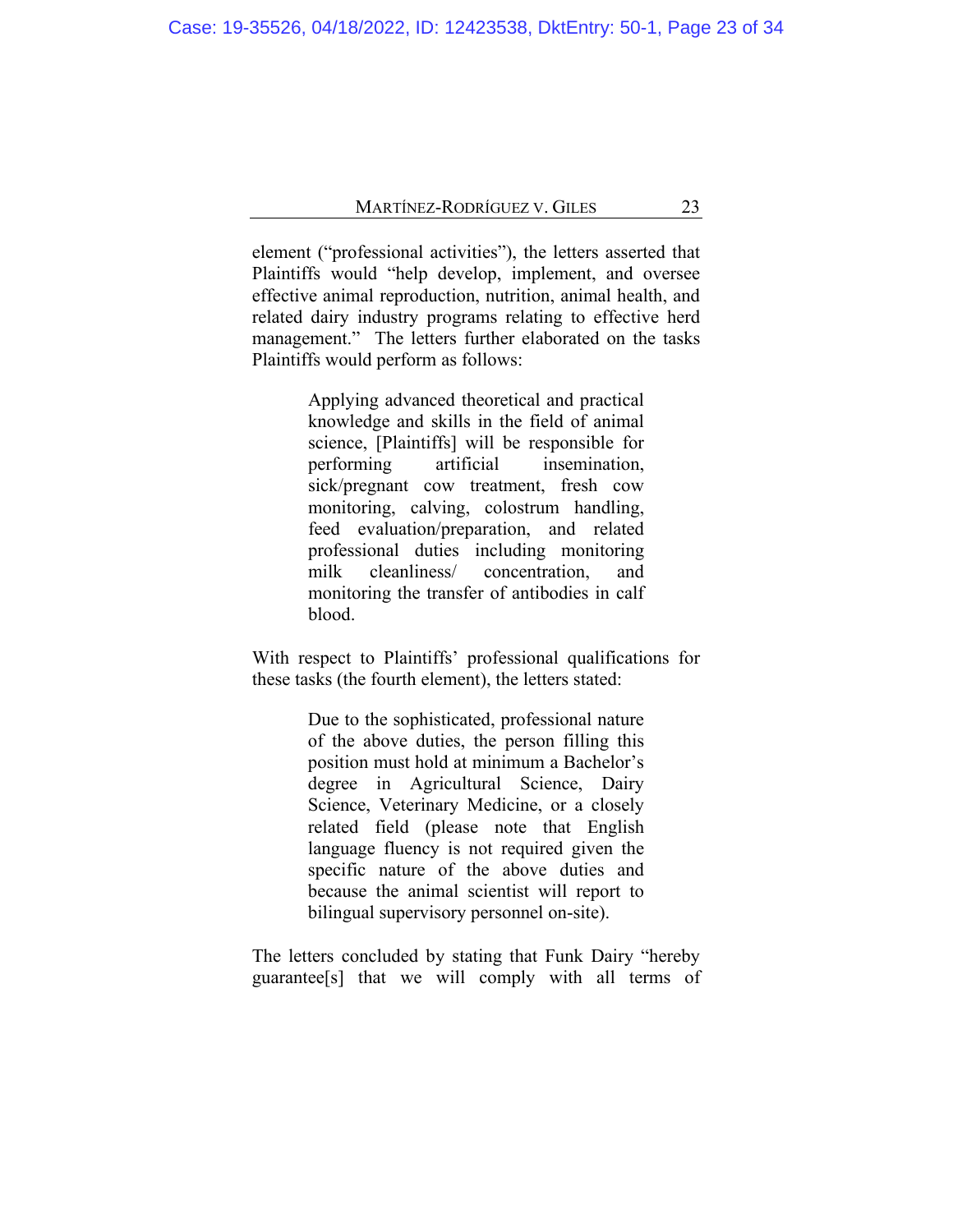element ("professional activities"), the letters asserted that Plaintiffs would "help develop, implement, and oversee effective animal reproduction, nutrition, animal health, and related dairy industry programs relating to effective herd management." The letters further elaborated on the tasks Plaintiffs would perform as follows:

> Applying advanced theoretical and practical knowledge and skills in the field of animal science, [Plaintiffs] will be responsible for performing artificial insemination, sick/pregnant cow treatment, fresh cow monitoring, calving, colostrum handling, feed evaluation/preparation, and related professional duties including monitoring milk cleanliness/ concentration, and monitoring the transfer of antibodies in calf blood.

With respect to Plaintiffs' professional qualifications for these tasks (the fourth element), the letters stated:

> Due to the sophisticated, professional nature of the above duties, the person filling this position must hold at minimum a Bachelor's degree in Agricultural Science, Dairy Science, Veterinary Medicine, or a closely related field (please note that English language fluency is not required given the specific nature of the above duties and because the animal scientist will report to bilingual supervisory personnel on-site).

The letters concluded by stating that Funk Dairy "hereby guarantee[s] that we will comply with all terms of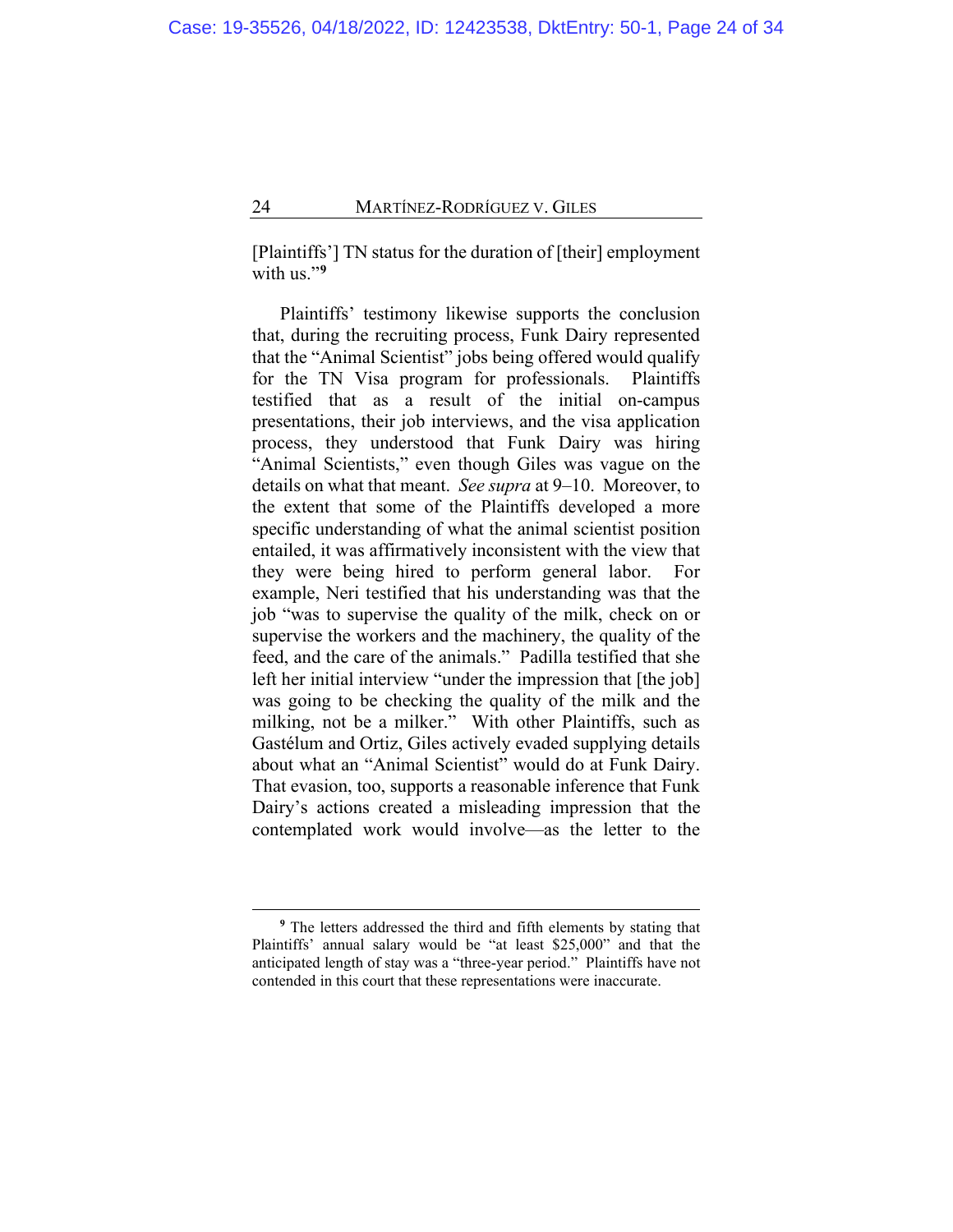[Plaintiffs'] TN status for the duration of [their] employment with us."<sup>[9](#page-23-0)</sup>

Plaintiffs' testimony likewise supports the conclusion that, during the recruiting process, Funk Dairy represented that the "Animal Scientist" jobs being offered would qualify for the TN Visa program for professionals. Plaintiffs testified that as a result of the initial on-campus presentations, their job interviews, and the visa application process, they understood that Funk Dairy was hiring "Animal Scientists," even though Giles was vague on the details on what that meant. *See supra* at [9–](#page-8-0)[10.](#page-9-0) Moreover, to the extent that some of the Plaintiffs developed a more specific understanding of what the animal scientist position entailed, it was affirmatively inconsistent with the view that they were being hired to perform general labor. For example, Neri testified that his understanding was that the job "was to supervise the quality of the milk, check on or supervise the workers and the machinery, the quality of the feed, and the care of the animals." Padilla testified that she left her initial interview "under the impression that [the job] was going to be checking the quality of the milk and the milking, not be a milker." With other Plaintiffs, such as Gastélum and Ortiz, Giles actively evaded supplying details about what an "Animal Scientist" would do at Funk Dairy. That evasion, too, supports a reasonable inference that Funk Dairy's actions created a misleading impression that the contemplated work would involve—as the letter to the

<span id="page-23-0"></span>**<sup>9</sup>** The letters addressed the third and fifth elements by stating that Plaintiffs' annual salary would be "at least \$25,000" and that the anticipated length of stay was a "three-year period." Plaintiffs have not contended in this court that these representations were inaccurate.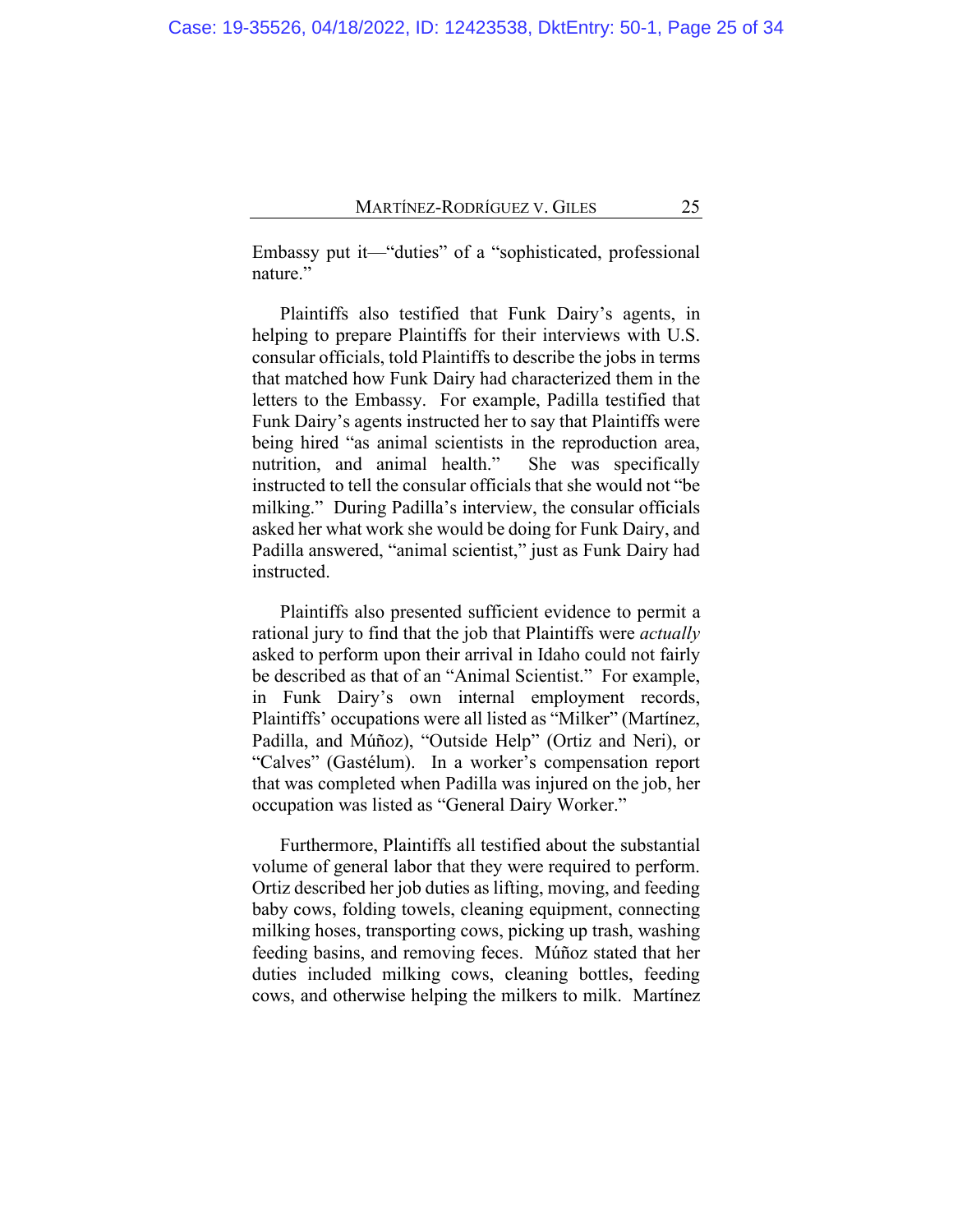Embassy put it—"duties" of a "sophisticated, professional nature."

Plaintiffs also testified that Funk Dairy's agents, in helping to prepare Plaintiffs for their interviews with U.S. consular officials, told Plaintiffs to describe the jobs in terms that matched how Funk Dairy had characterized them in the letters to the Embassy. For example, Padilla testified that Funk Dairy's agents instructed her to say that Plaintiffs were being hired "as animal scientists in the reproduction area, nutrition, and animal health." She was specifically instructed to tell the consular officials that she would not "be milking." During Padilla's interview, the consular officials asked her what work she would be doing for Funk Dairy, and Padilla answered, "animal scientist," just as Funk Dairy had instructed.

Plaintiffs also presented sufficient evidence to permit a rational jury to find that the job that Plaintiffs were *actually* asked to perform upon their arrival in Idaho could not fairly be described as that of an "Animal Scientist." For example, in Funk Dairy's own internal employment records, Plaintiffs' occupations were all listed as "Milker" (Martínez, Padilla, and Múñoz), "Outside Help" (Ortiz and Neri), or "Calves" (Gastélum). In a worker's compensation report that was completed when Padilla was injured on the job, her occupation was listed as "General Dairy Worker."

Furthermore, Plaintiffs all testified about the substantial volume of general labor that they were required to perform. Ortiz described her job duties as lifting, moving, and feeding baby cows, folding towels, cleaning equipment, connecting milking hoses, transporting cows, picking up trash, washing feeding basins, and removing feces. Múñoz stated that her duties included milking cows, cleaning bottles, feeding cows, and otherwise helping the milkers to milk. Martínez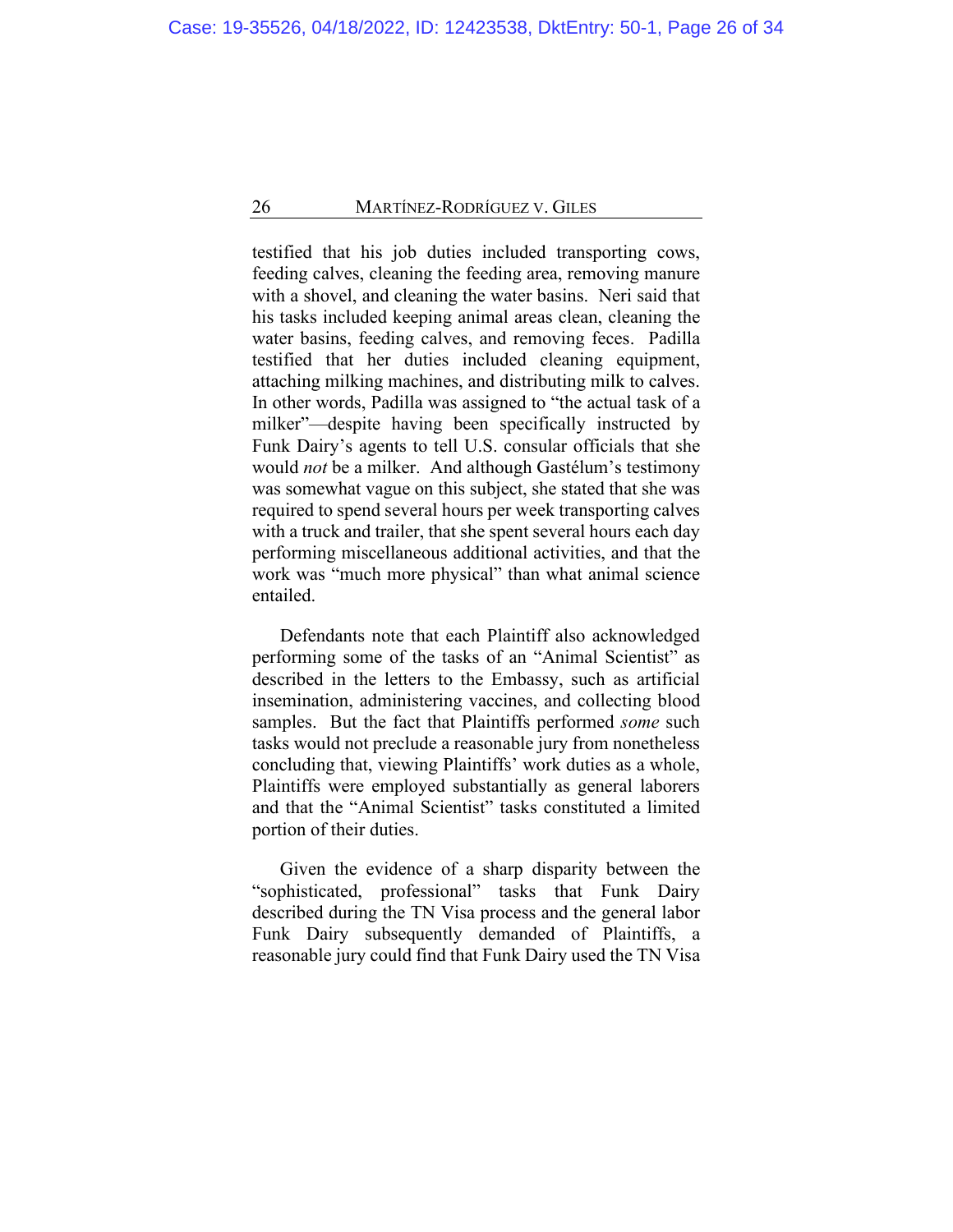testified that his job duties included transporting cows, feeding calves, cleaning the feeding area, removing manure with a shovel, and cleaning the water basins. Neri said that his tasks included keeping animal areas clean, cleaning the water basins, feeding calves, and removing feces. Padilla testified that her duties included cleaning equipment, attaching milking machines, and distributing milk to calves. In other words, Padilla was assigned to "the actual task of a milker"—despite having been specifically instructed by Funk Dairy's agents to tell U.S. consular officials that she would *not* be a milker. And although Gastélum's testimony was somewhat vague on this subject, she stated that she was required to spend several hours per week transporting calves with a truck and trailer, that she spent several hours each day performing miscellaneous additional activities, and that the work was "much more physical" than what animal science entailed.

Defendants note that each Plaintiff also acknowledged performing some of the tasks of an "Animal Scientist" as described in the letters to the Embassy, such as artificial insemination, administering vaccines, and collecting blood samples. But the fact that Plaintiffs performed *some* such tasks would not preclude a reasonable jury from nonetheless concluding that, viewing Plaintiffs' work duties as a whole, Plaintiffs were employed substantially as general laborers and that the "Animal Scientist" tasks constituted a limited portion of their duties.

Given the evidence of a sharp disparity between the "sophisticated, professional" tasks that Funk Dairy described during the TN Visa process and the general labor Funk Dairy subsequently demanded of Plaintiffs, a reasonable jury could find that Funk Dairy used the TN Visa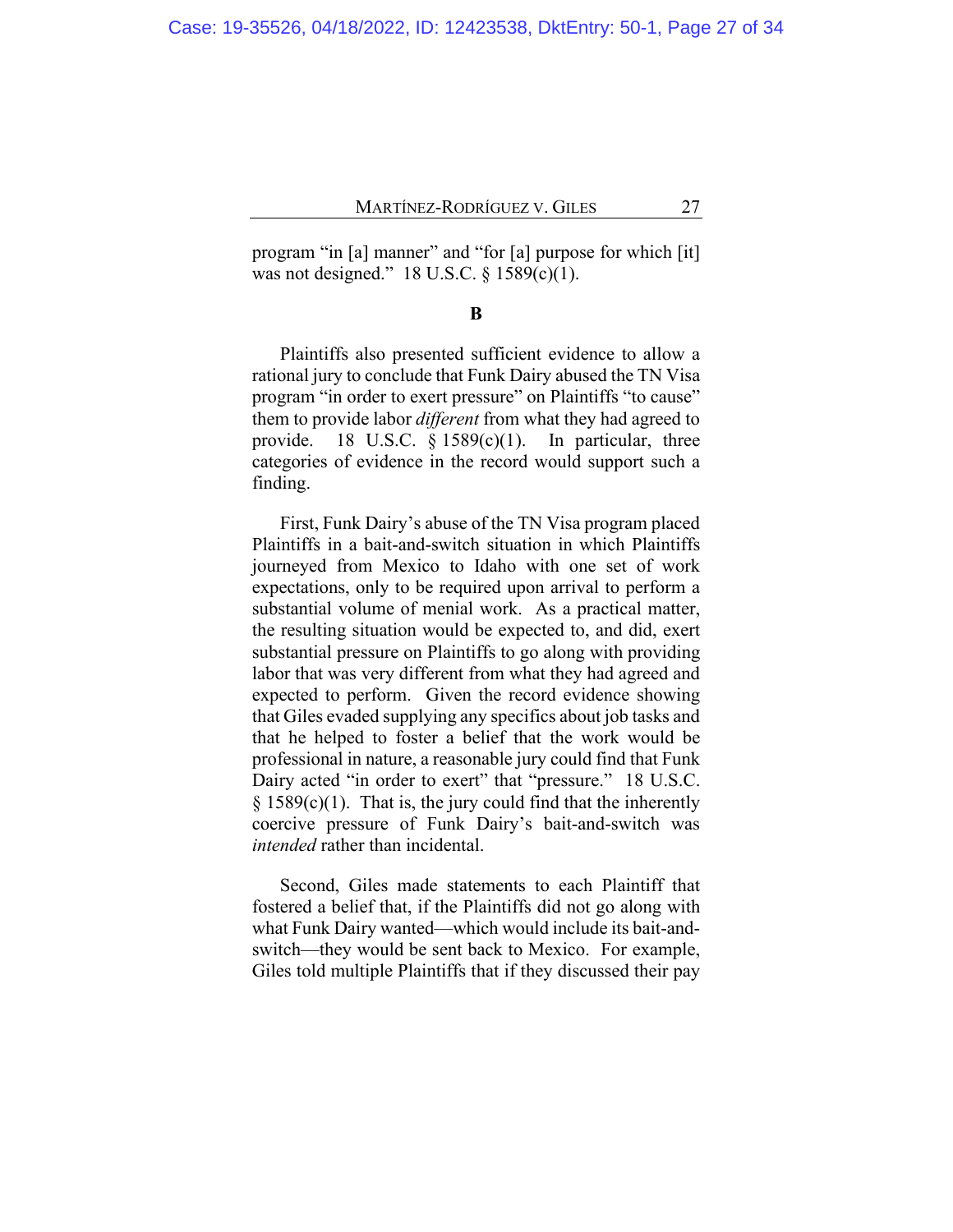program "in [a] manner" and "for [a] purpose for which [it] was not designed." 18 U.S.C. § 1589(c)(1).

#### **B**

Plaintiffs also presented sufficient evidence to allow a rational jury to conclude that Funk Dairy abused the TN Visa program "in order to exert pressure" on Plaintiffs "to cause" them to provide labor *different* from what they had agreed to provide. 18 U.S.C.  $\S$  1589(c)(1). In particular, three categories of evidence in the record would support such a finding.

First, Funk Dairy's abuse of the TN Visa program placed Plaintiffs in a bait-and-switch situation in which Plaintiffs journeyed from Mexico to Idaho with one set of work expectations, only to be required upon arrival to perform a substantial volume of menial work. As a practical matter, the resulting situation would be expected to, and did, exert substantial pressure on Plaintiffs to go along with providing labor that was very different from what they had agreed and expected to perform. Given the record evidence showing that Giles evaded supplying any specifics about job tasks and that he helped to foster a belief that the work would be professional in nature, a reasonable jury could find that Funk Dairy acted "in order to exert" that "pressure." 18 U.S.C.  $§$  1589(c)(1). That is, the jury could find that the inherently coercive pressure of Funk Dairy's bait-and-switch was *intended* rather than incidental.

Second, Giles made statements to each Plaintiff that fostered a belief that, if the Plaintiffs did not go along with what Funk Dairy wanted—which would include its bait-andswitch—they would be sent back to Mexico. For example, Giles told multiple Plaintiffs that if they discussed their pay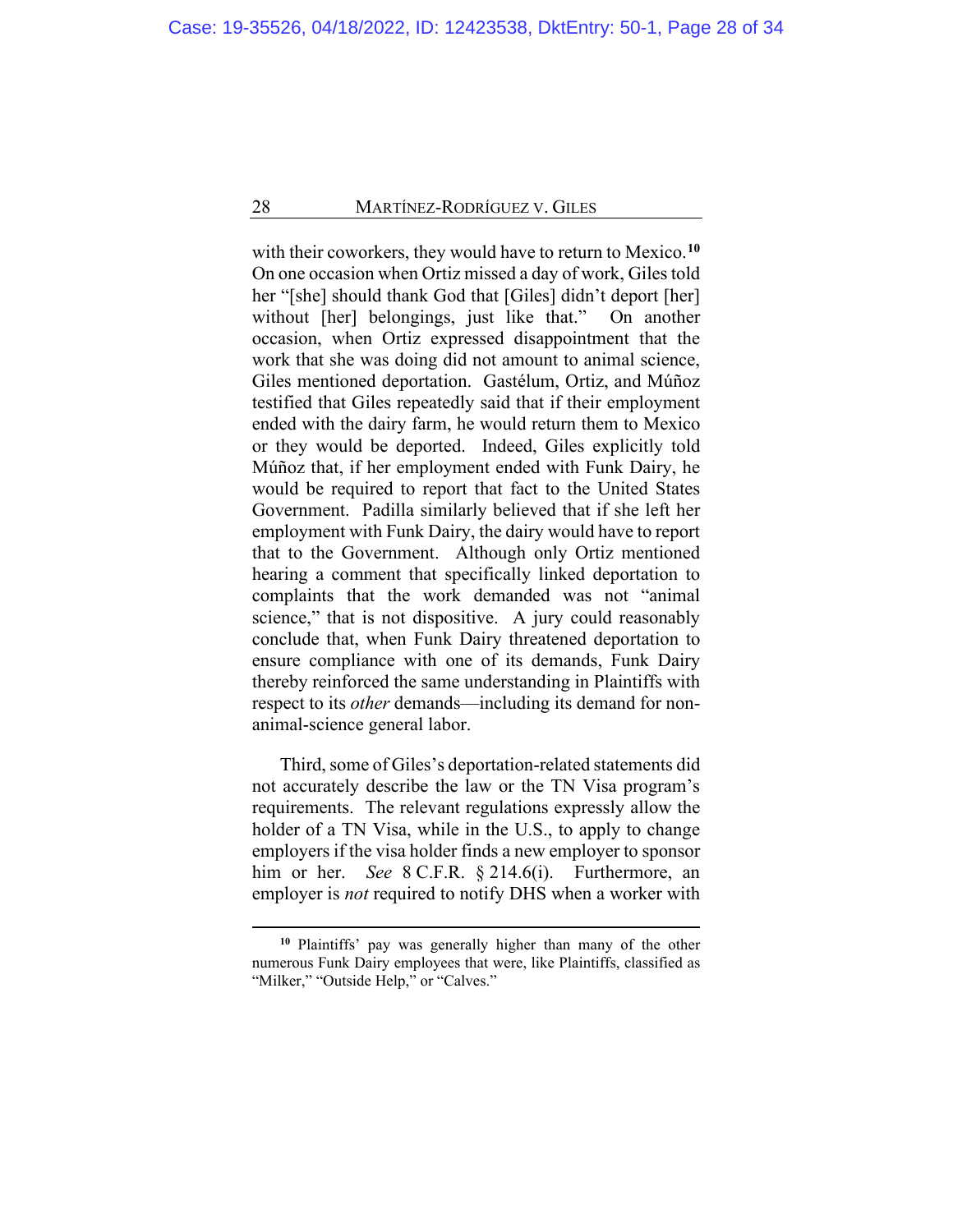with their coworkers, they would have to return to Mexico.**[10](#page-27-0)** On one occasion when Ortiz missed a day of work, Giles told her "[she] should thank God that [Giles] didn't deport [her] without [her] belongings, just like that." On another occasion, when Ortiz expressed disappointment that the work that she was doing did not amount to animal science, Giles mentioned deportation. Gastélum, Ortiz, and Múñoz testified that Giles repeatedly said that if their employment ended with the dairy farm, he would return them to Mexico or they would be deported. Indeed, Giles explicitly told Múñoz that, if her employment ended with Funk Dairy, he would be required to report that fact to the United States Government. Padilla similarly believed that if she left her employment with Funk Dairy, the dairy would have to report that to the Government. Although only Ortiz mentioned hearing a comment that specifically linked deportation to complaints that the work demanded was not "animal science," that is not dispositive. A jury could reasonably conclude that, when Funk Dairy threatened deportation to ensure compliance with one of its demands, Funk Dairy thereby reinforced the same understanding in Plaintiffs with respect to its *other* demands—including its demand for nonanimal-science general labor.

Third, some of Giles's deportation-related statements did not accurately describe the law or the TN Visa program's requirements. The relevant regulations expressly allow the holder of a TN Visa, while in the U.S., to apply to change employers if the visa holder finds a new employer to sponsor him or her. *See* 8 C.F.R. § 214.6(i). Furthermore, an employer is *not* required to notify DHS when a worker with

<span id="page-27-0"></span>**<sup>10</sup>** Plaintiffs' pay was generally higher than many of the other numerous Funk Dairy employees that were, like Plaintiffs, classified as "Milker," "Outside Help," or "Calves."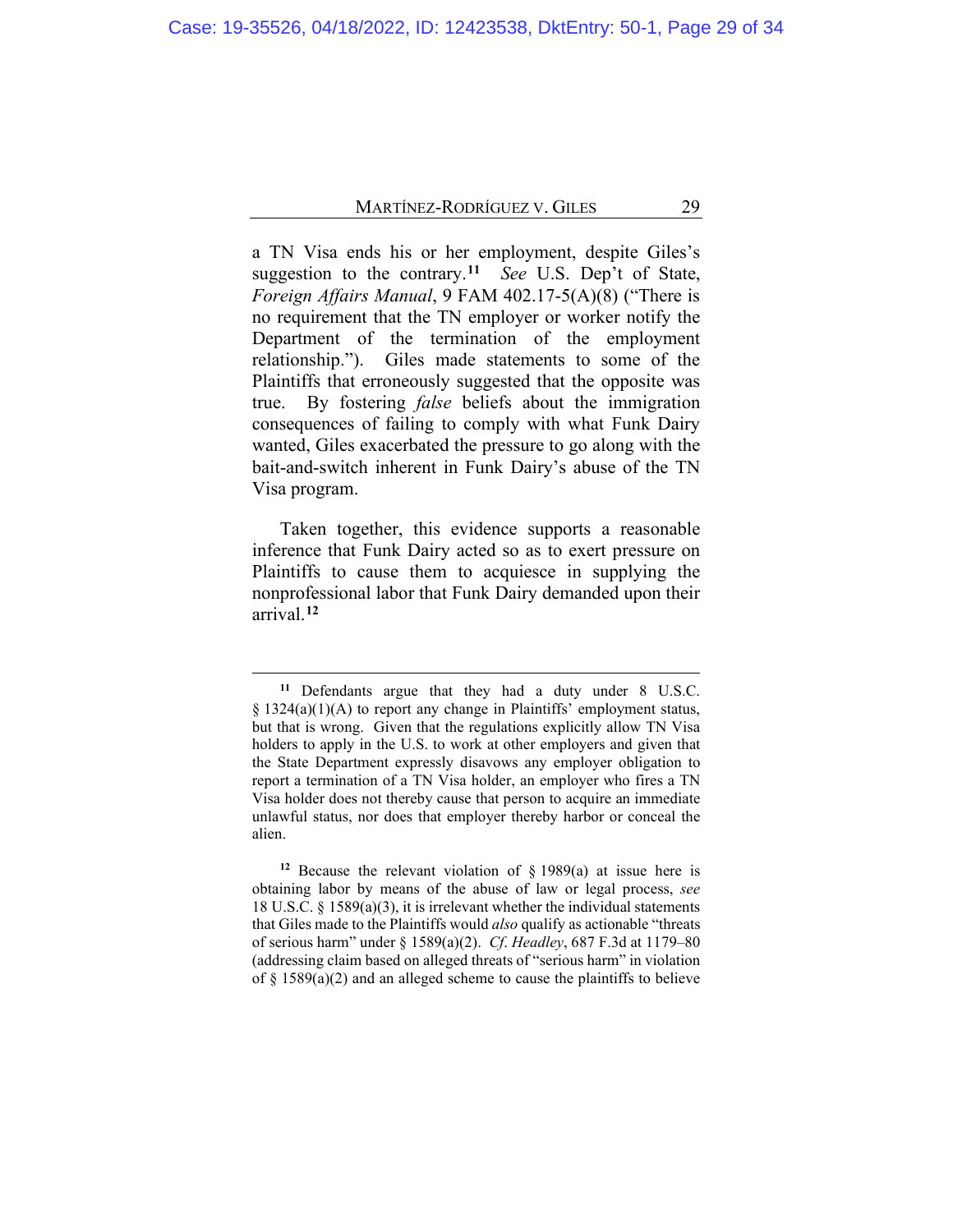a TN Visa ends his or her employment, despite Giles's suggestion to the contrary.**[11](#page-28-0)** *See* U.S. Dep't of State, *Foreign Affairs Manual*, 9 FAM 402.17-5(A)(8) ("There is no requirement that the TN employer or worker notify the Department of the termination of the employment relationship."). Giles made statements to some of the Plaintiffs that erroneously suggested that the opposite was true. By fostering *false* beliefs about the immigration consequences of failing to comply with what Funk Dairy wanted, Giles exacerbated the pressure to go along with the bait-and-switch inherent in Funk Dairy's abuse of the TN Visa program.

Taken together, this evidence supports a reasonable inference that Funk Dairy acted so as to exert pressure on Plaintiffs to cause them to acquiesce in supplying the nonprofessional labor that Funk Dairy demanded upon their arrival.**[12](#page-28-1)**

**<sup>11</sup>** Defendants argue that they had a duty under 8 U.S.C. § 1324(a)(1)(A) to report any change in Plaintiffs' employment status, but that is wrong. Given that the regulations explicitly allow TN Visa holders to apply in the U.S. to work at other employers and given that the State Department expressly disavows any employer obligation to report a termination of a TN Visa holder, an employer who fires a TN Visa holder does not thereby cause that person to acquire an immediate unlawful status, nor does that employer thereby harbor or conceal the alien.

<span id="page-28-1"></span><span id="page-28-0"></span>**<sup>12</sup>** Because the relevant violation of § 1989(a) at issue here is obtaining labor by means of the abuse of law or legal process, *see* 18 U.S.C. § 1589(a)(3), it is irrelevant whether the individual statements that Giles made to the Plaintiffs would *also* qualify as actionable "threats of serious harm" under § 1589(a)(2). *Cf*. *Headley*, 687 F.3d at 1179–80 (addressing claim based on alleged threats of "serious harm" in violation of  $\S$  1589(a)(2) and an alleged scheme to cause the plaintiffs to believe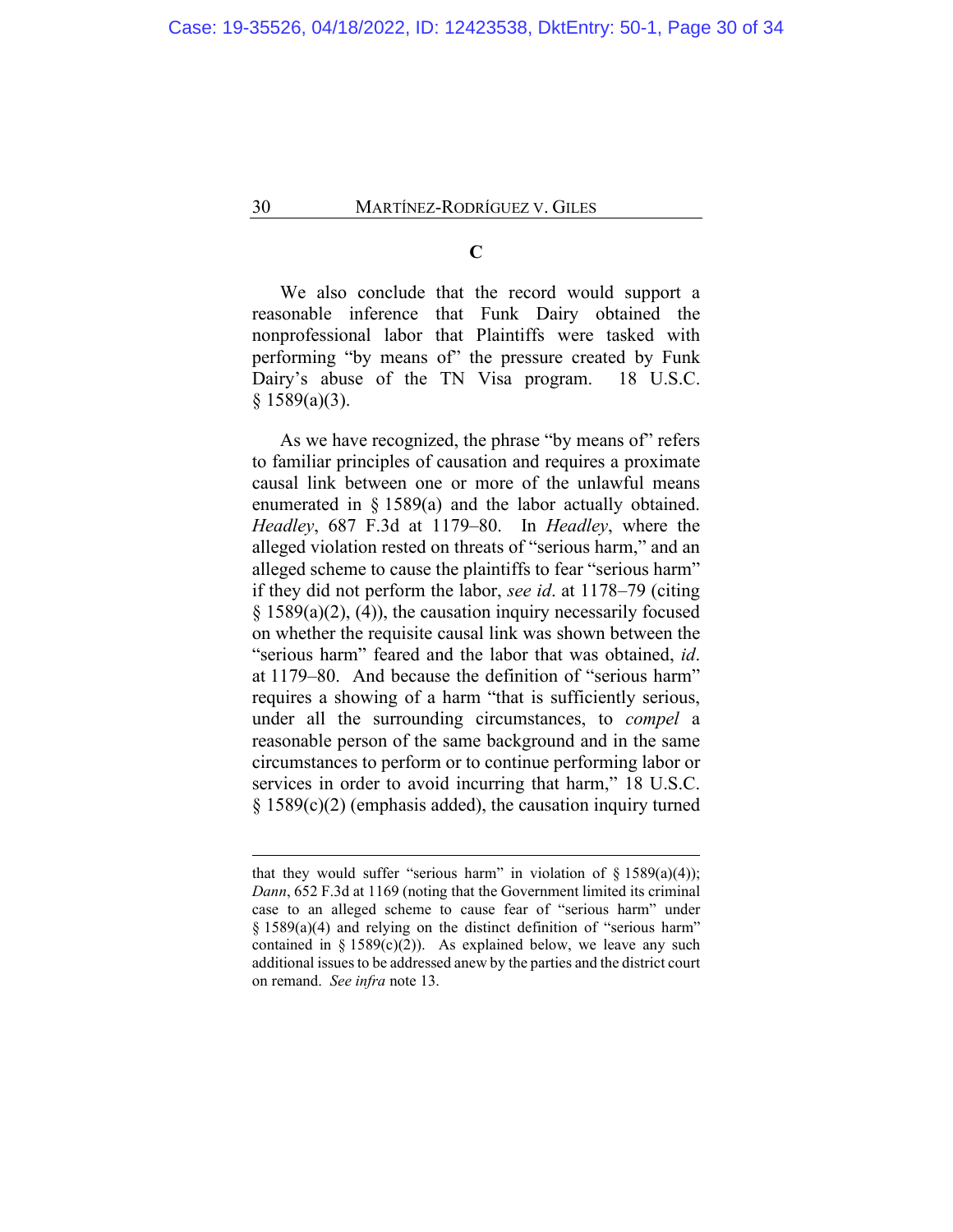**C**

We also conclude that the record would support a reasonable inference that Funk Dairy obtained the nonprofessional labor that Plaintiffs were tasked with performing "by means of" the pressure created by Funk Dairy's abuse of the TN Visa program. 18 U.S.C.  $§ 1589(a)(3).$ 

As we have recognized, the phrase "by means of" refers to familiar principles of causation and requires a proximate causal link between one or more of the unlawful means enumerated in § 1589(a) and the labor actually obtained. *Headley*, 687 F.3d at 1179–80. In *Headley*, where the alleged violation rested on threats of "serious harm," and an alleged scheme to cause the plaintiffs to fear "serious harm" if they did not perform the labor, *see id*. at 1178–79 (citing  $\S$  1589(a)(2), (4)), the causation inquiry necessarily focused on whether the requisite causal link was shown between the "serious harm" feared and the labor that was obtained, *id*. at 1179–80. And because the definition of "serious harm" requires a showing of a harm "that is sufficiently serious, under all the surrounding circumstances, to *compel* a reasonable person of the same background and in the same circumstances to perform or to continue performing labor or services in order to avoid incurring that harm," 18 U.S.C. § 1589(c)(2) (emphasis added), the causation inquiry turned

that they would suffer "serious harm" in violation of  $\S$  1589(a)(4)); *Dann*, 652 F.3d at 1169 (noting that the Government limited its criminal case to an alleged scheme to cause fear of "serious harm" under § 1589(a)(4) and relying on the distinct definition of "serious harm" contained in § 1589 $(c)(2)$ ). As explained below, we leave any such additional issues to be addressed anew by the parties and the district court on remand. *See infra* note 13.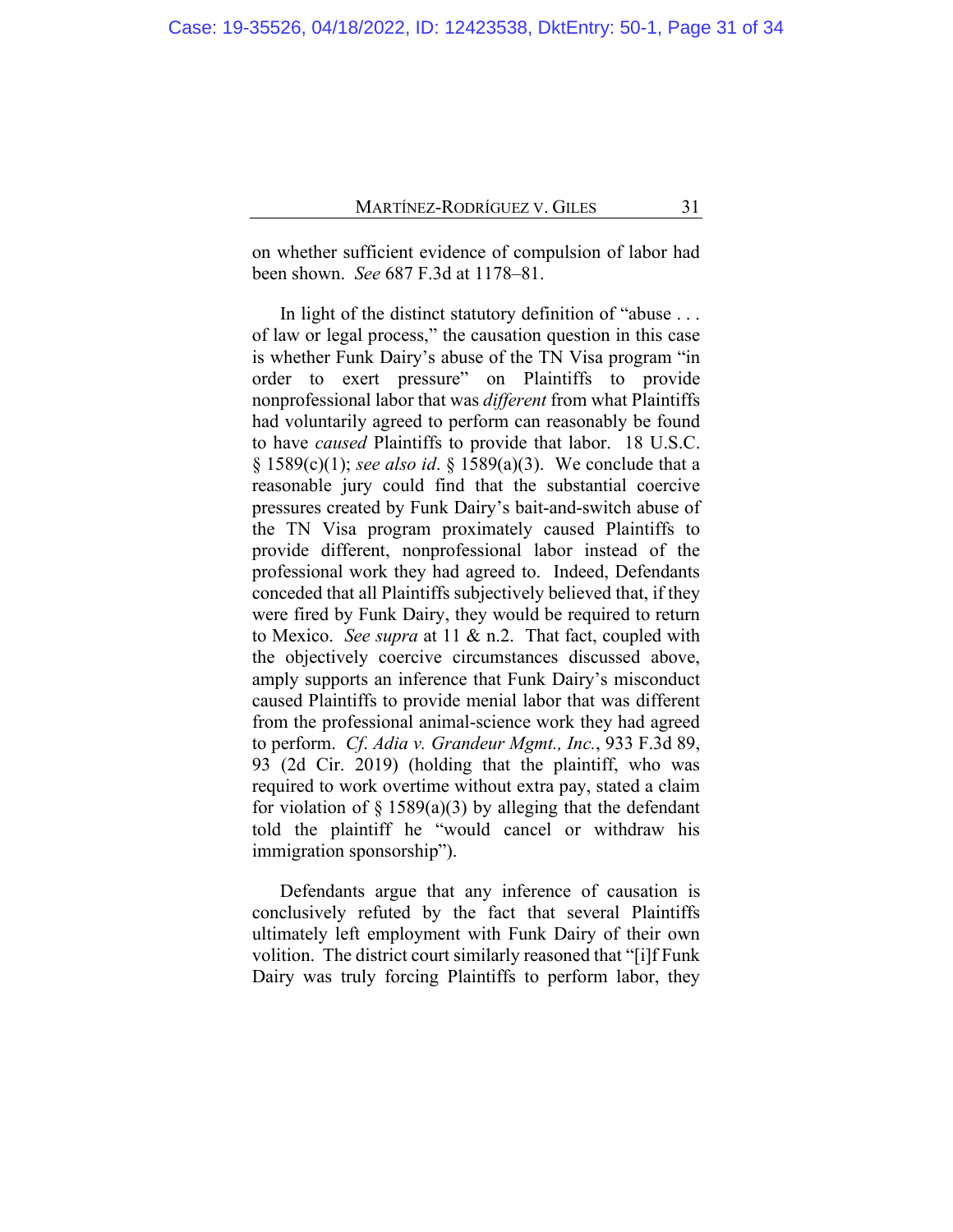on whether sufficient evidence of compulsion of labor had been shown. *See* 687 F.3d at 1178–81.

In light of the distinct statutory definition of "abuse . . . of law or legal process," the causation question in this case is whether Funk Dairy's abuse of the TN Visa program "in order to exert pressure" on Plaintiffs to provide nonprofessional labor that was *different* from what Plaintiffs had voluntarily agreed to perform can reasonably be found to have *caused* Plaintiffs to provide that labor. 18 U.S.C. § 1589(c)(1); *see also id*. § 1589(a)(3). We conclude that a reasonable jury could find that the substantial coercive pressures created by Funk Dairy's bait-and-switch abuse of the TN Visa program proximately caused Plaintiffs to provide different, nonprofessional labor instead of the professional work they had agreed to. Indeed, Defendants conceded that all Plaintiffs subjectively believed that, if they were fired by Funk Dairy, they would be required to return to Mexico. *See supra* at [11](#page-11-1) & n.2. That fact, coupled with the objectively coercive circumstances discussed above, amply supports an inference that Funk Dairy's misconduct caused Plaintiffs to provide menial labor that was different from the professional animal-science work they had agreed to perform. *Cf*. *Adia v. Grandeur Mgmt., Inc.*, 933 F.3d 89, 93 (2d Cir. 2019) (holding that the plaintiff, who was required to work overtime without extra pay, stated a claim for violation of  $\S$  1589(a)(3) by alleging that the defendant told the plaintiff he "would cancel or withdraw his immigration sponsorship").

Defendants argue that any inference of causation is conclusively refuted by the fact that several Plaintiffs ultimately left employment with Funk Dairy of their own volition. The district court similarly reasoned that "[i]f Funk Dairy was truly forcing Plaintiffs to perform labor, they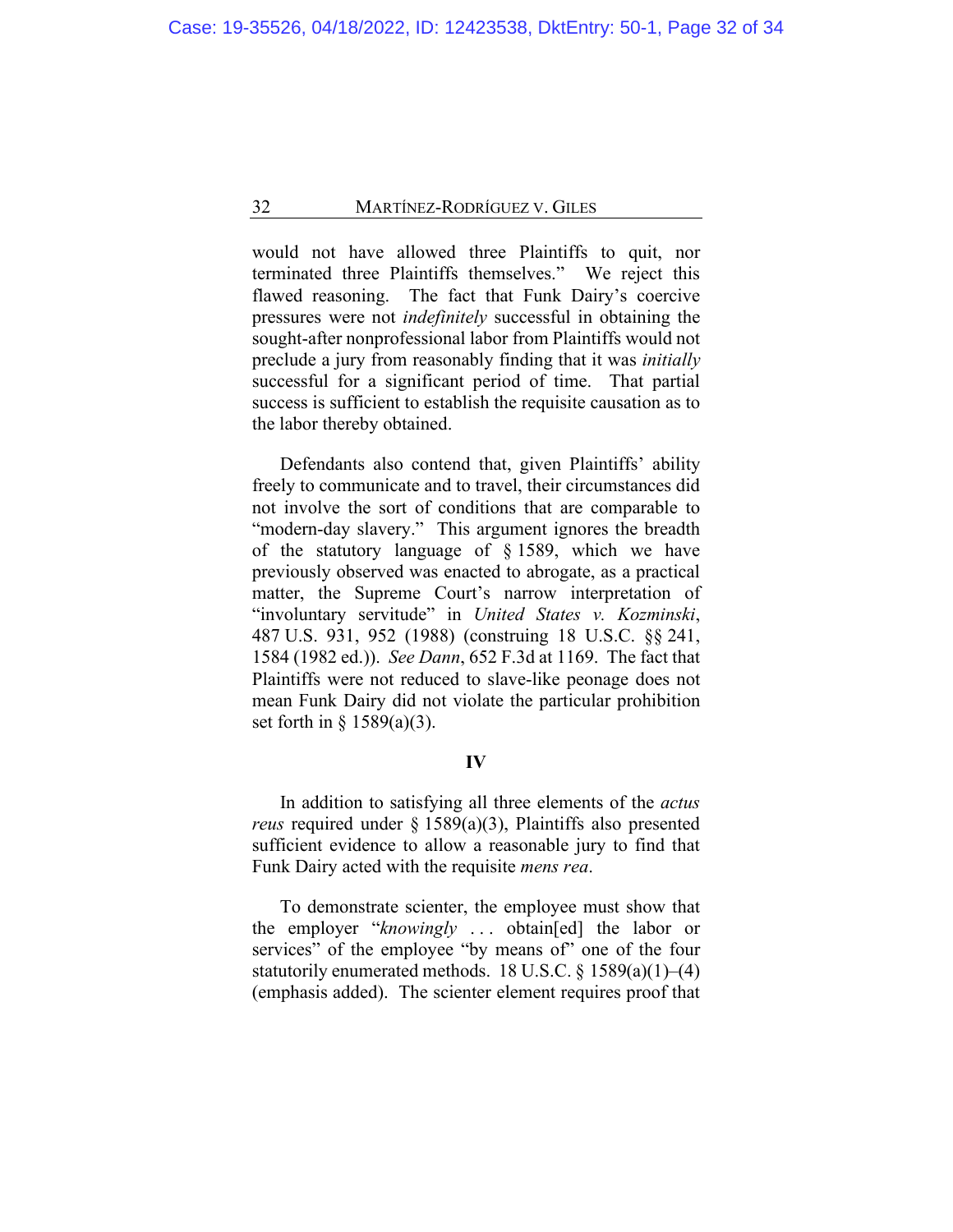would not have allowed three Plaintiffs to quit, nor terminated three Plaintiffs themselves." We reject this flawed reasoning. The fact that Funk Dairy's coercive pressures were not *indefinitely* successful in obtaining the sought-after nonprofessional labor from Plaintiffs would not preclude a jury from reasonably finding that it was *initially* successful for a significant period of time. That partial success is sufficient to establish the requisite causation as to the labor thereby obtained.

Defendants also contend that, given Plaintiffs' ability freely to communicate and to travel, their circumstances did not involve the sort of conditions that are comparable to "modern-day slavery." This argument ignores the breadth of the statutory language of § 1589, which we have previously observed was enacted to abrogate, as a practical matter, the Supreme Court's narrow interpretation of "involuntary servitude" in *United States v. Kozminski*, 487 U.S. 931, 952 (1988) (construing 18 U.S.C. §§ 241, 1584 (1982 ed.)). *See Dann*, 652 F.3d at 1169. The fact that Plaintiffs were not reduced to slave-like peonage does not mean Funk Dairy did not violate the particular prohibition set forth in  $\S$  1589(a)(3).

# **IV**

In addition to satisfying all three elements of the *actus reus* required under § 1589(a)(3), Plaintiffs also presented sufficient evidence to allow a reasonable jury to find that Funk Dairy acted with the requisite *mens rea*.

To demonstrate scienter, the employee must show that the employer "*knowingly* . . . obtain[ed] the labor or services" of the employee "by means of" one of the four statutorily enumerated methods. 18 U.S.C. § 1589(a)(1)–(4) (emphasis added). The scienter element requires proof that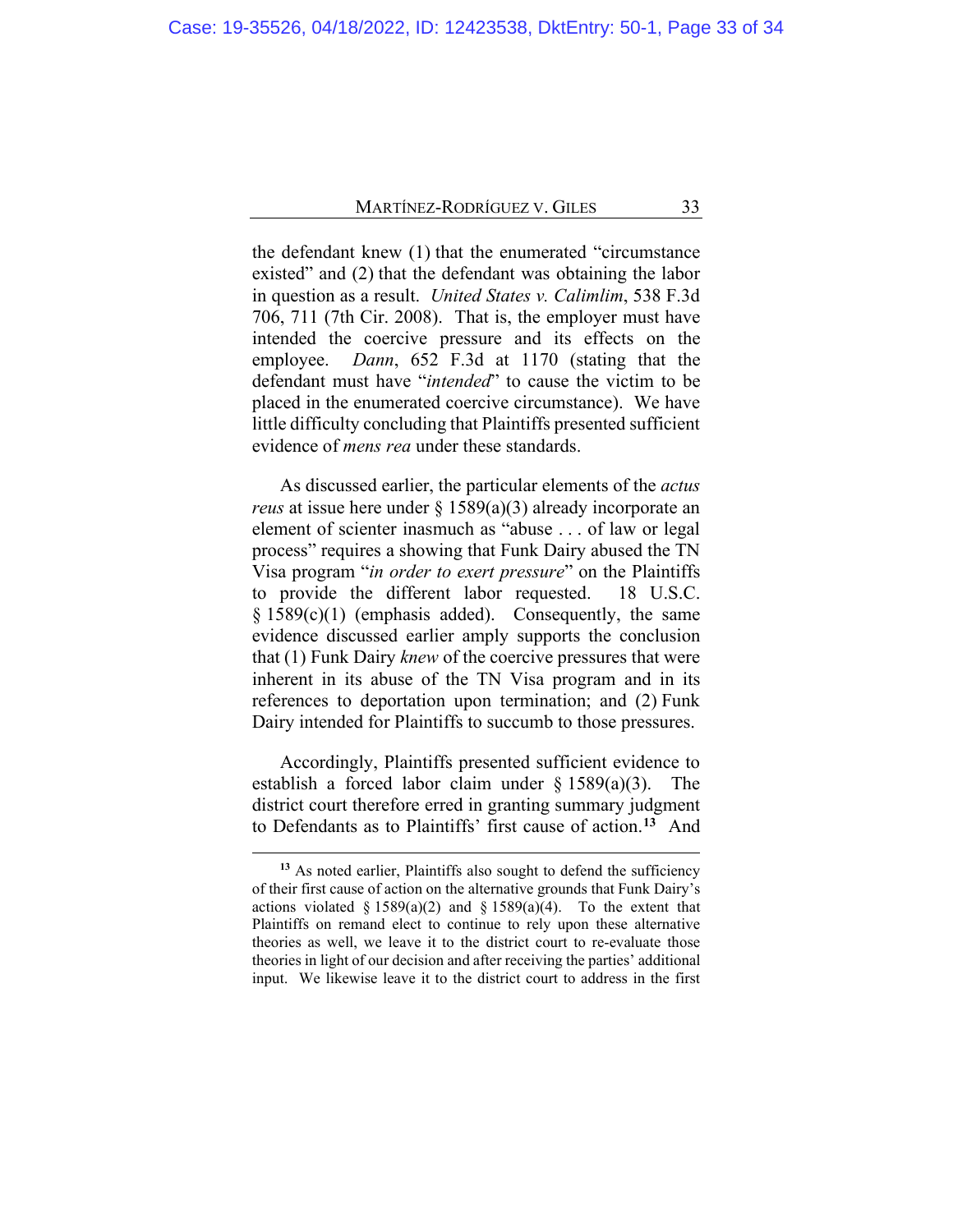the defendant knew (1) that the enumerated "circumstance existed" and (2) that the defendant was obtaining the labor in question as a result. *United States v. Calimlim*, 538 F.3d 706, 711 (7th Cir. 2008). That is, the employer must have intended the coercive pressure and its effects on the employee. *Dann*, 652 F.3d at 1170 (stating that the defendant must have "*intended*" to cause the victim to be placed in the enumerated coercive circumstance). We have little difficulty concluding that Plaintiffs presented sufficient evidence of *mens rea* under these standards.

As discussed earlier, the particular elements of the *actus reus* at issue here under § 1589(a)(3) already incorporate an element of scienter inasmuch as "abuse . . . of law or legal process" requires a showing that Funk Dairy abused the TN Visa program "*in order to exert pressure*" on the Plaintiffs to provide the different labor requested. 18 U.S.C. § 1589(c)(1) (emphasis added). Consequently, the same evidence discussed earlier amply supports the conclusion that (1) Funk Dairy *knew* of the coercive pressures that were inherent in its abuse of the TN Visa program and in its references to deportation upon termination; and (2) Funk Dairy intended for Plaintiffs to succumb to those pressures.

Accordingly, Plaintiffs presented sufficient evidence to establish a forced labor claim under  $\S$  1589(a)(3). The district court therefore erred in granting summary judgment to Defendants as to Plaintiffs' first cause of action.**[13](#page-32-0)** And

<span id="page-32-0"></span><sup>&</sup>lt;sup>13</sup> As noted earlier, Plaintiffs also sought to defend the sufficiency of their first cause of action on the alternative grounds that Funk Dairy's actions violated § 1589(a)(2) and § 1589(a)(4). To the extent that Plaintiffs on remand elect to continue to rely upon these alternative theories as well, we leave it to the district court to re-evaluate those theories in light of our decision and after receiving the parties' additional input. We likewise leave it to the district court to address in the first